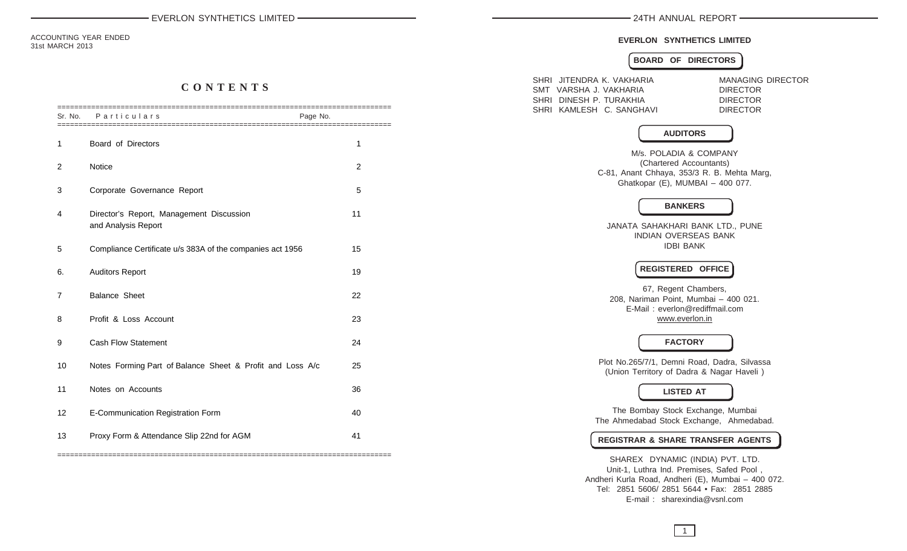24TH ANNUAL REPORT

**EVERLON SYNTHETICS LIMITED**

**BOARD OF DIRECTORS**

SHRI JITENDRA K. VAKHARIA MANAGING DIRECTOR

### ACCOUNTING YEAR ENDED 31st MARCH 2013

# **C O N T E N T S**

| Sr. No.        | Particulars<br>----------------------------------               | ==========================<br>Page No. |  |
|----------------|-----------------------------------------------------------------|----------------------------------------|--|
| 1              | Board of Directors                                              | 1                                      |  |
| 2              | Notice                                                          | $\overline{2}$                         |  |
| 3              | Corporate Governance Report                                     | 5                                      |  |
| 4              | Director's Report, Management Discussion<br>and Analysis Report | 11                                     |  |
| 5              | Compliance Certificate u/s 383A of the companies act 1956       | 15                                     |  |
| 6.             | <b>Auditors Report</b>                                          | 19                                     |  |
| $\overline{7}$ | <b>Balance Sheet</b>                                            | 22                                     |  |
| 8              | Profit & Loss Account                                           | 23                                     |  |
| 9              | <b>Cash Flow Statement</b>                                      | 24                                     |  |
| 10             | Notes Forming Part of Balance Sheet & Profit and Loss A/c       | 25                                     |  |
| 11             | Notes on Accounts                                               | 36                                     |  |
| 12             | E-Communication Registration Form                               | 40                                     |  |
| 13             | Proxy Form & Attendance Slip 22nd for AGM                       | 41                                     |  |

===============================================================================

# SMT VARSHA J. VAKHARIA DIRECTOR SHRI DINESH P. TURAKHIA DIRECTOR SHRI KAMLESH C. SANGHAVI DIRECTOR **AUDITORS** M/s. POLADIA & COMPANY (Chartered Accountants) C-81, Anant Chhaya, 353/3 R. B. Mehta Marg, Ghatkopar (E), MUMBAI – 400 077. **BANKERS** JANATA SAHAKHARI BANK LTD., PUNE INDIAN OVERSEAS BANK IDBI BANK **REGISTERED OFFICE** 67, Regent Chambers, 208, Nariman Point, Mumbai – 400 021. E-Mail : everlon@rediffmail.com www.everlon.in **FACTORY** Plot No.265/7/1, Demni Road, Dadra, Silvassa (Union Territory of Dadra & Nagar Haveli ) **LISTED AT** The Bombay Stock Exchange, Mumbai The Ahmedabad Stock Exchange, Ahmedabad. **REGISTRAR & SHARE TRANSFER AGENTS** SHAREX DYNAMIC (INDIA) PVT. LTD. Unit-1, Luthra Ind. Premises, Safed Pool , Andheri Kurla Road, Andheri (E), Mumbai – 400 072. Tel: 2851 5606/ 2851 5644 • Fax: 2851 2885

1

E-mail : sharexindia@vsnl.com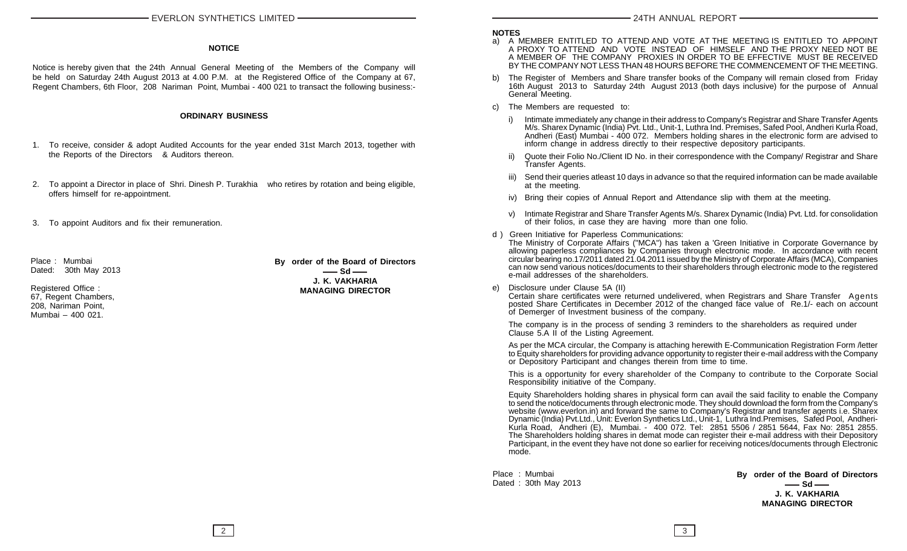## **NOTICE**

Notice is hereby given that the 24th Annual General Meeting of the Members of the Company will be held on Saturday 24th August 2013 at 4.00 P.M. at the Registered Office of the Company at 67, Regent Chambers, 6th Floor, 208 Nariman Point, Mumbai - 400 021 to transact the following business:-

## **ORDINARY BUSINESS**

- 1. To receive, consider & adopt Audited Accounts for the year ended 31st March 2013, together with the Reports of the Directors & Auditors thereon.
- 2. To appoint a Director in place of Shri. Dinesh P. Turakhia who retires by rotation and being eligible, offers himself for re-appointment.
- 3. To appoint Auditors and fix their remuneration.

Place : Mumbai Dated: 30th May 2013

Registered Office : 67, Regent Chambers, 208, Nariman Point, Mumbai – 400 021.

**By order of the Board of Directors**  $\equiv$  Sd  $\equiv$ **J. K. VAKHARIA MANAGING DIRECTOR**

### **NOTES**

- a) A MEMBER ENTITLED TO ATTEND AND VOTE AT THE MEETING IS ENTITLED TO APPOINT A PROXY TO ATTEND AND VOTE INSTEAD OF HIMSELF AND THE PROXY NEED NOT BE A MEMBER OF THE COMPANY PROXIES IN ORDER TO BE EFFECTIVE MUST BE RECEIVED BY THE COMPANY NOT LESS THAN 48 HOURS BEFORE THE COMMENCEMENT OF THE MEETING.
- b) The Register of Members and Share transfer books of the Company will remain closed from Friday 16th August 2013 to Saturday 24th August 2013 (both days inclusive) for the purpose of Annual General Meeting.
- c) The Members are requested to:
	- i) Intimate immediately any change in their address to Company's Registrar and Share Transfer Agents M/s. Sharex Dynamic (India) Pvt. Ltd., Unit-1, Luthra Ind. Premises, Safed Pool, Andheri Kurla Road, Andheri (East) Mumbai - 400 072. Members holding shares in the electronic form are advised to inform change in address directly to their respective depository participants.
	- ii) Quote their Folio No./Client ID No. in their correspondence with the Company/ Registrar and Share Transfer Agents.
	- iii) Send their queries atleast 10 days in advance so that the required information can be made available at the meeting.
	- iv) Bring their copies of Annual Report and Attendance slip with them at the meeting.
	- v) Intimate Registrar and Share Transfer Agents M/s. Sharex Dynamic (India) Pvt. Ltd. for consolidation of their folios, in case they are having more than one folio.
- d ) Green Initiative for Paperless Communications:

The Ministry of Corporate Affairs ("MCA") has taken a 'Green Initiative in Corporate Governance by allowing paperless compliances by Companies through electronic mode. In accordance with recent circular bearing no.17/2011 dated 21.04.2011 issued by the Ministry of Corporate Affairs (MCA), Companies can now send various notices/documents to their shareholders through electronic mode to the registered e-mail addresses of the shareholders.

Disclosure under Clause 5A (II)

Certain share certificates were returned undelivered, when Registrars and Share Transfer Agents posted Share Certificates in December 2012 of the changed face value of Re.1/- each on account of Demerger of Investment business of the company.

The company is in the process of sending 3 reminders to the shareholders as required under Clause 5.A II of the Listing Agreement.

As per the MCA circular, the Company is attaching herewith E-Communication Registration Form /letter to Equity shareholders for providing advance opportunity to register their e-mail address with the Company or Depository Participant and changes therein from time to time.

This is a opportunity for every shareholder of the Company to contribute to the Corporate Social Responsibility initiative of the Company.

Equity Shareholders holding shares in physical form can avail the said facility to enable the Company to send the notice/documents through electronic mode. They should download the form from the Company's website (www.everlon.in) and forward the same to Company's Registrar and transfer agents i.e. Sharex Dynamic (India) Pvt.Ltd., Unit: Everlon Synthetics Ltd., Unit-1, Luthra Ind.Premises, Safed Pool, Andheri-Kurla Road, Andheri (E), Mumbai. - 400 072. Tel: 2851 5506 / 2851 5644, Fax No: 2851 2855. The Shareholders holding shares in demat mode can register their e-mail address with their Depository Participant, in the event they have not done so earlier for receiving notices/documents through Electronic mode.

Place : Mumbai Dated : 30th May 2013 **By order of the Board of Directors**  $-$  Sd  $-$ 

**J. K. VAKHARIA MANAGING DIRECTOR**

3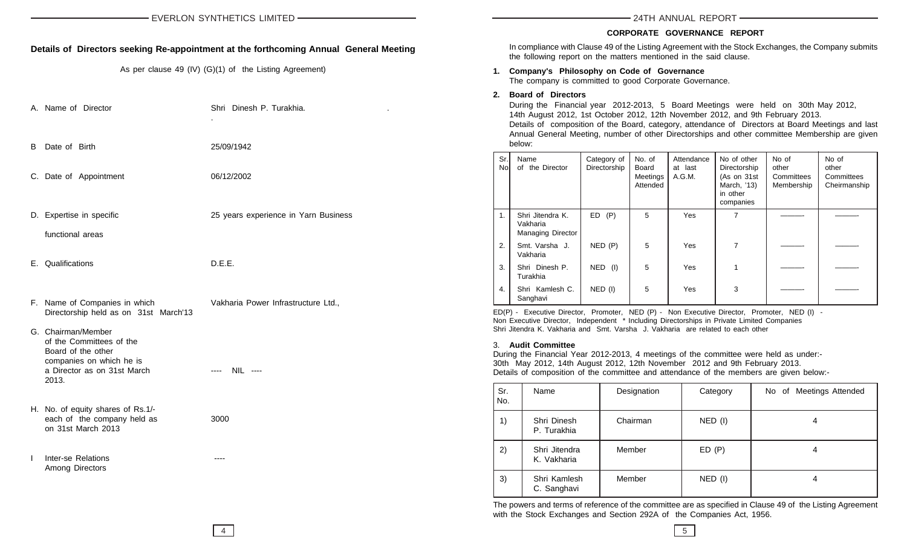# **Details of Directors seeking Re-appointment at the forthcoming Annual General Meeting**

# As per clause 49 (IV) (G)(1) of the Listing Agreement)

.

|  |  | A. Name of Director |  |
|--|--|---------------------|--|
|--|--|---------------------|--|

Shri Dinesh P. Turakhia.

B Date of Birth 25/09/1942

C. Date of Appointment 06/12/2002

D. Expertise in specific 25 years experience in Yarn Business

functional areas

E. Qualifications D.E.E.

F. Name of Companies in which Vakharia Power Infrastructure Ltd., Directorship held as on 31st March'13

G. Chairman/Member of the Committees of the Board of the other companies on which he is a Director as on 31st March ---- NIL ----2013.

H. No. of equity shares of Rs.1/ each of the company held as 3000 on 31st March 2013

Inter-se Relations and the set of the set of the set of the set of the set of the set of the set of the set of the set of the set of the set of the set of the set of the set of the set of the set of the set of the set of t Among Directors

24TH ANNUAL REPORT

# **CORPORATE GOVERNANCE REPORT**

In compliance with Clause 49 of the Listing Agreement with the Stock Exchanges, the Company submits the following report on the matters mentioned in the said clause.

**1. Company's Philosophy on Code of Governance** The company is committed to good Corporate Governance.

# **2. Board of Directors**

During the Financial year 2012-2013, 5 Board Meetings were held on 30th May 2012, 14th August 2012, 1st October 2012, 12th November 2012, and 9th February 2013. Details of composition of the Board, category, attendance of Directors at Board Meetings and last Annual General Meeting, number of other Directorships and other committee Membership are given below:

| Sr.<br>No.     | Name<br>the Director<br>of                               | Category of<br>Directorship | No. of<br>Board<br>Meetings<br>Attended | Attendance<br>at last<br>A.G.M. | No of other<br>Directorship<br>(As on 31st<br>March, '13)<br>in other<br>companies | No of<br>other<br>Committees<br>Membership | No of<br>other<br>Committees<br>Cheirmanship |
|----------------|----------------------------------------------------------|-----------------------------|-----------------------------------------|---------------------------------|------------------------------------------------------------------------------------|--------------------------------------------|----------------------------------------------|
| $\mathbf{1}$ . | Shri Jitendra K.<br>Vakharia<br><b>Managing Director</b> | ED(P)                       | 5                                       | Yes                             | 7                                                                                  |                                            |                                              |
| 2.             | Smt. Varsha J.<br>Vakharia                               | NED(P)                      | 5                                       | Yes                             | 7                                                                                  |                                            |                                              |
| 3.             | Shri Dinesh P.<br>Turakhia                               | <b>NED</b><br>(1)           | 5                                       | Yes                             | 1                                                                                  |                                            |                                              |
| 4.             | Shri Kamlesh C.<br>Sanghavi                              | NED (I)                     | 5                                       | Yes                             | 3                                                                                  |                                            |                                              |

ED(P) - Executive Director, Promoter, NED (P) - Non Executive Director, Promoter, NED (I) - Non Executive Director, Independent \* Including Directorships in Private Limited Companies Shri Jitendra K. Vakharia and Smt. Varsha J. Vakharia are related to each other

## 3. **Audit Committee**

During the Financial Year 2012-2013, 4 meetings of the committee were held as under:- 30th May 2012, 14th August 2012, 12th November 2012 and 9th February 2013. Details of composition of the committee and attendance of the members are given below:-

| Sr.<br>No. | Name                         | Designation | Category  | No of Meetings Attended |
|------------|------------------------------|-------------|-----------|-------------------------|
| 1)         | Shri Dinesh<br>P. Turakhia   | Chairman    | $NED$ (I) | 4                       |
| 2)         | Shri Jitendra<br>K. Vakharia | Member      | ED(P)     | 4                       |
| 3)         | Shri Kamlesh<br>C. Sanghavi  | Member      | NED (I)   | 4                       |

The powers and terms of reference of the committee are as specified in Clause 49 of the Listing Agreement with the Stock Exchanges and Section 292A of the Companies Act, 1956.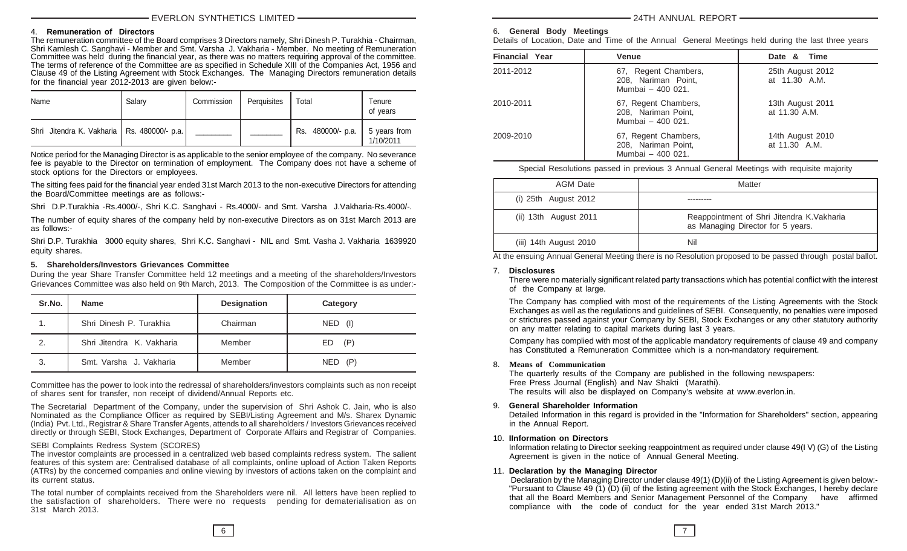### 4. **Remuneration of Directors**

The remuneration committee of the Board comprises 3 Directors namely, Shri Dinesh P. Turakhia - Chairman, Shri Kamlesh C. Sanghavi - Member and Smt. Varsha J. Vakharia - Member. No meeting of Remuneration Committee was held during the financial year, as there was no matters requiring approval of the committee. The terms of reference of the Committee are as specified in Schedule XIII of the Companies Act, 1956 and Clause 49 of the Listing Agreement with Stock Exchanges. The Managing Directors remuneration details for the financial year 2012-2013 are given below:-

| Name                                          | Salarv | Commission | Perquisites | Total                            | Tenure<br>of years |
|-----------------------------------------------|--------|------------|-------------|----------------------------------|--------------------|
| Shri Jitendra K. Vakharia   Rs. 480000/- p.a. |        |            |             | Rs. 480000/- p.a.   5 years from | 1/10/2011          |

Notice period for the Managing Director is as applicable to the senior employee of the company. No severance fee is payable to the Director on termination of employment. The Company does not have a scheme of stock options for the Directors or employees.

The sitting fees paid for the financial year ended 31st March 2013 to the non-executive Directors for attending the Board/Committee meetings are as follows:-

Shri D.P.Turakhia -Rs.4000/-, Shri K.C. Sanghavi - Rs.4000/- and Smt. Varsha J.Vakharia-Rs.4000/-.

The number of equity shares of the company held by non-executive Directors as on 31st March 2013 are as follows:-

Shri D.P. Turakhia 3000 equity shares, Shri K.C. Sanghavi - NIL and Smt. Vasha J. Vakharia 1639920 equity shares.

## **5. Shareholders/Investors Grievances Committee**

During the year Share Transfer Committee held 12 meetings and a meeting of the shareholders/Investors Grievances Committee was also held on 9th March, 2013. The Composition of the Committee is as under:-

| Sr.No. | <b>Name</b>               | <b>Designation</b> | Category    |
|--------|---------------------------|--------------------|-------------|
| 1.     | Shri Dinesh P. Turakhia   | Chairman           | NED (I)     |
| 2.     | Shri Jitendra K. Vakharia | Member             | (P)<br>ED.  |
| 3.     | Smt. Varsha J. Vakharia   | Member             | $NED$ $(P)$ |

Committee has the power to look into the redressal of shareholders/investors complaints such as non receipt of shares sent for transfer, non receipt of dividend/Annual Reports etc.

The Secretarial Department of the Company, under the supervision of Shri Ashok C. Jain, who is also Nominated as the Compliance Officer as required by SEBI/Listing Agreement and M/s. Sharex Dynamic (India) Pvt. Ltd., Registrar & Share Transfer Agents, attends to all shareholders / Investors Grievances received directly or through SEBI, Stock Exchanges, Department of Corporate Affairs and Registrar of Companies.

# SEBI Complaints Redress System (SCORES)

The investor complaints are processed in a centralized web based complaints redress system. The salient features of this system are: Centralised database of all complaints, online upload of Action Taken Reports (ATRs) by the concerned companies and online viewing by investors of actions taken on the complaint and its current status.

The total number of complaints received from the Shareholders were nil. All letters have been replied to the satisfaction of shareholders. There were no requests pending for dematerialisation as on 31st March 2013.

24TH ANNUAL REPORT

# 6. **General Body Meetings**

Details of Location, Date and Time of the Annual General Meetings held during the last three years

| <b>Financial Year</b> | <b>Venue</b>                                                     | Date & Time                       |
|-----------------------|------------------------------------------------------------------|-----------------------------------|
| 2011-2012             | 67, Regent Chambers,<br>208, Nariman Point,<br>Mumbai - 400 021. | 25th August 2012<br>at 11.30 A.M. |
| 2010-2011             | 67, Regent Chambers,<br>208, Nariman Point,<br>Mumbai - 400 021. | 13th August 2011<br>at 11.30 A.M. |
| 2009-2010             | 67, Regent Chambers,<br>208, Nariman Point,<br>Mumbai - 400 021. | 14th August 2010<br>at 11.30 A.M. |

Special Resolutions passed in previous 3 Annual General Meetings with requisite majority

| AGM Date                | Matter                                                                          |  |
|-------------------------|---------------------------------------------------------------------------------|--|
| $(i)$ 25th August 2012  |                                                                                 |  |
| $(ii)$ 13th August 2011 | Reappointment of Shri Jitendra K. Vakharia<br>as Managing Director for 5 years. |  |
| (iii) 14th August 2010  | Nil                                                                             |  |

At the ensuing Annual General Meeting there is no Resolution proposed to be passed through postal ballot.

### 7. **Disclosures**

There were no materially significant related party transactions which has potential conflict with the interest of the Company at large.

The Company has complied with most of the requirements of the Listing Agreements with the Stock Exchanges as well as the regulations and guidelines of SEBI. Consequently, no penalties were imposed or strictures passed against your Company by SEBI, Stock Exchanges or any other statutory authority on any matter relating to capital markets during last 3 years.

Company has complied with most of the applicable mandatory requirements of clause 49 and company has Constituted a Remuneration Committee which is a non-mandatory requirement.

## 8. **Means of Communication**

The quarterly results of the Company are published in the following newspapers: Free Press Journal (English) and Nav Shakti (Marathi). The results will also be displayed on Company's website at www.everlon.in.

## 9. **General Shareholder Information**

Detailed Information in this regard is provided in the "Information for Shareholders" section, appearing in the Annual Report.

## 10. **IInformation on Directors**

Information relating to Director seeking reappointment as required under clause 49(I V) (G) of the Listing Agreement is given in the notice of Annual General Meeting.

# 11. **Declaration by the Managing Director**

Declaration by the Managing Director under clause 49(1) (D)(ii) of the Listing Agreement is given below:- "Pursuant to Clause 49 (1) (D) (ii) of the listing agreement with the Stock Exchanges, I hereby declare that all the Board Members and Senior Management Personnel of the Company have affirmed compliance with the code of conduct for the year ended 31st March 2013."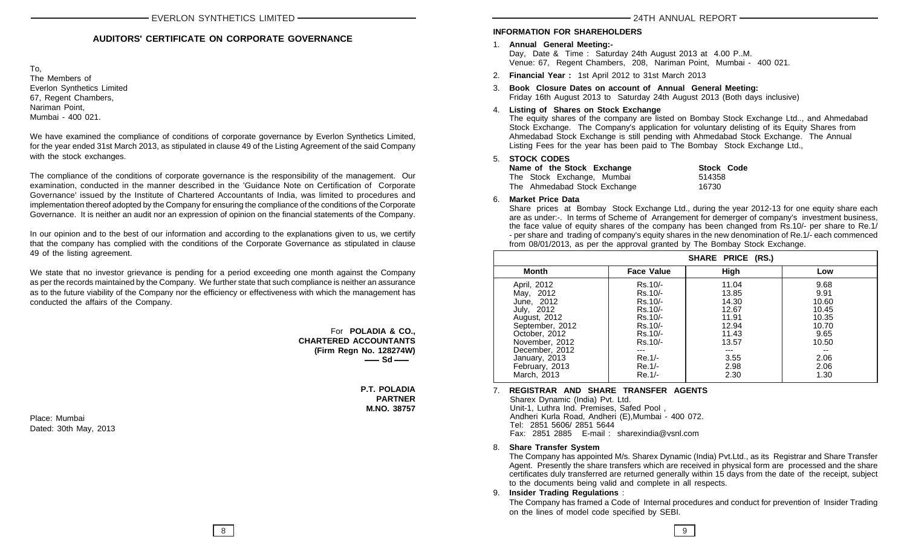# **AUDITORS' CERTIFICATE ON CORPORATE GOVERNANCE**

To, The Members of Everlon Synthetics Limited 67, Regent Chambers, Nariman Point, Mumbai - 400 021.

We have examined the compliance of conditions of corporate governance by Everlon Synthetics Limited, for the year ended 31st March 2013, as stipulated in clause 49 of the Listing Agreement of the said Company with the stock exchanges.

The compliance of the conditions of corporate governance is the responsibility of the management. Our examination, conducted in the manner described in the 'Guidance Note on Certification of Corporate Governance' issued by the Institute of Chartered Accountants of India, was limited to procedures and implementation thereof adopted by the Company for ensuring the compliance of the conditions of the Corporate Governance. It is neither an audit nor an expression of opinion on the financial statements of the Company.

In our opinion and to the best of our information and according to the explanations given to us, we certify that the company has complied with the conditions of the Corporate Governance as stipulated in clause 49 of the listing agreement.

We state that no investor grievance is pending for a period exceeding one month against the Company as per the records maintained by the Company. We further state that such compliance is neither an assurance as to the future viability of the Company nor the efficiency or effectiveness with which the management has conducted the affairs of the Company.

> For **POLADIA & CO., CHARTERED ACCOUNTANTS (Firm Regn No. 128274W)** — Sd —

> > **P.T. POLADIA PARTNER M.NO. 38757**

24TH ANNUAL REPORT

# **INFORMATION FOR SHAREHOLDERS**

- 1. **Annual General Meeting:-** Day, Date & Time : Saturday 24th August 2013 at 4.00 P..M. Venue: 67, Regent Chambers, 208, Nariman Point, Mumbai - 400 021.
- 2. **Financial Year :** 1st April 2012 to 31st March 2013
- 3. **Book Closure Dates on account of Annual General Meeting:** Friday 16th August 2013 to Saturday 24th August 2013 (Both days inclusive)

# 4. **Listing of Shares on Stock Exchange**

The equity shares of the company are listed on Bombay Stock Exchange Ltd.., and Ahmedabad Stock Exchange. The Company's application for voluntary delisting of its Equity Shares from Ahmedabad Stock Exchange is still pending with Ahmedabad Stock Exchange. The Annual Listing Fees for the year has been paid to The Bombay Stock Exchange Ltd.,

# 5. **STOCK CODES**

| Name of the Stock Exchange   | Stock Code |
|------------------------------|------------|
| The Stock Exchange, Mumbai   | 514358     |
| The Ahmedabad Stock Exchange | 16730      |

# 6. **Market Price Data**

Share prices at Bombay Stock Exchange Ltd., during the year 2012-13 for one equity share each are as under:-. In terms of Scheme of Arrangement for demerger of company's investment business, the face value of equity shares of the company has been changed from Rs.10/- per share to Re.1/ - per share and trading of company's equity shares in the new denomination of Re.1/- each commenced from 08/01/2013, as per the approval granted by The Bombay Stock Exchange.

| SHARE PRICE (RS.)                                                                                                                                                                              |                                                                                                                    |                                                                                                     |                                                                                                 |  |  |  |
|------------------------------------------------------------------------------------------------------------------------------------------------------------------------------------------------|--------------------------------------------------------------------------------------------------------------------|-----------------------------------------------------------------------------------------------------|-------------------------------------------------------------------------------------------------|--|--|--|
| <b>Month</b>                                                                                                                                                                                   | <b>Face Value</b>                                                                                                  | <b>High</b>                                                                                         | Low                                                                                             |  |  |  |
| April, 2012<br>May, 2012<br>June, 2012<br>July, 2012<br>August, 2012<br>September, 2012<br>October, 2012<br>November, 2012<br>December, 2012<br>January, 2013<br>February, 2013<br>March, 2013 | Rs.10/-<br>Rs.10/-<br>Rs.10/-<br>Rs.10/-<br>Rs.10/-<br>Rs.10/-<br>Rs.10/-<br>Rs.10/-<br>Re.1/-<br>Re.1/-<br>Re.1/- | 11.04<br>13.85<br>14.30<br>12.67<br>11.91<br>12.94<br>11.43<br>13.57<br>---<br>3.55<br>2.98<br>2.30 | 9.68<br>9.91<br>10.60<br>10.45<br>10.35<br>10.70<br>9.65<br>10.50<br>--<br>2.06<br>2.06<br>1.30 |  |  |  |

# 7. **REGISTRAR AND SHARE TRANSFER AGENTS**

 Sharex Dynamic (India) Pvt. Ltd. Unit-1, Luthra Ind. Premises, Safed Pool , Andheri Kurla Road, Andheri (E),Mumbai - 400 072. Tel: 2851 5606/ 2851 5644 Fax: 2851 2885 E-mail : sharexindia@vsnl.com

8. **Share Transfer System**

The Company has appointed M/s. Sharex Dynamic (India) Pvt.Ltd., as its Registrar and Share Transfer Agent. Presently the share transfers which are received in physical form are processed and the share certificates duly transferred are returned generally within 15 days from the date of the receipt, subject to the documents being valid and complete in all respects.

# 9. **Insider Trading Regulations** :

The Company has framed a Code of Internal procedures and conduct for prevention of Insider Trading on the lines of model code specified by SEBI.

Place: Mumbai Dated: 30th May, 2013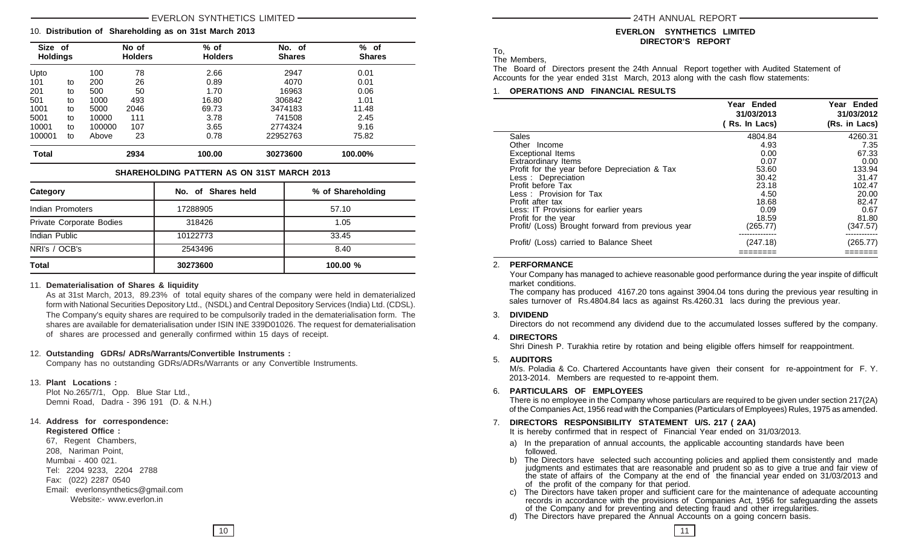# 10. **Distribution of Shareholding as on 31st March 2013**

| Size of<br><b>Holdings</b> |    |        | No of<br><b>Holders</b> | $%$ of<br><b>Holders</b> | No. of<br><b>Shares</b> | % of<br><b>Shares</b> |
|----------------------------|----|--------|-------------------------|--------------------------|-------------------------|-----------------------|
| Upto                       |    | 100    | 78                      | 2.66                     | 2947                    | 0.01                  |
| 101                        | to | 200    | 26                      | 0.89                     | 4070                    | 0.01                  |
| 201                        | to | 500    | 50                      | 1.70                     | 16963                   | 0.06                  |
| 501                        | to | 1000   | 493                     | 16.80                    | 306842                  | 1.01                  |
| 1001                       | to | 5000   | 2046                    | 69.73                    | 3474183                 | 11.48                 |
| 5001                       | to | 10000  | 111                     | 3.78                     | 741508                  | 2.45                  |
| 10001                      | to | 100000 | 107                     | 3.65                     | 2774324                 | 9.16                  |
| 100001                     | to | Above  | 23                      | 0.78                     | 22952763                | 75.82                 |
| <b>Total</b>               |    |        | 2934                    | 100.00                   | 30273600                | 100.00%               |

# **SHAREHOLDING PATTERN AS ON 31ST MARCH 2013**

| Category                 | No. of Shares held | % of Shareholding |
|--------------------------|--------------------|-------------------|
| Indian Promoters         | 17288905           | 57.10             |
| Private Corporate Bodies | 318426             | 1.05              |
| Indian Public            | 10122773           | 33.45             |
| NRI's / OCB's            | 2543496            | 8.40              |
| <b>Total</b>             | 30273600           | $100.00 \%$       |

# 11. **Dematerialisation of Shares & liquidity**

As at 31st March, 2013, 89.23% of total equity shares of the company were held in dematerialized form with National Securities Depository Ltd., (NSDL) and Central Depository Services (India) Ltd. (CDSL). The Company's equity shares are required to be compulsorily traded in the dematerialisation form. The shares are available for dematerialisation under ISIN INE 339D01026. The request for dematerialisation of shares are processed and generally confirmed within 15 days of receipt.

# 12. **Outstanding GDRs/ ADRs/Warrants/Convertible Instruments :**

Company has no outstanding GDRs/ADRs/Warrants or any Convertible Instruments.

# 13. **Plant Locations :**

Plot No.265/7/1, Opp. Blue Star Ltd., Demni Road, Dadra - 396 191 (D. & N.H.)

### 14. **Address for correspondence: Registered Office :**

67, Regent Chambers, 208, Nariman Point, Mumbai - 400 021. Tel: 2204 9233, 2204 2788 Fax: (022) 2287 0540 Email: everlonsynthetics@gmail.com Website:- www.everlon.in

# **EVERLON SYNTHETICS LIMITED DIRECTOR'S REPORT**

# To,

The Members,

The Board of Directors present the 24th Annual Report together with Audited Statement of Accounts for the year ended 31st March, 2013 along with the cash flow statements:

# 1. **OPERATIONS AND FINANCIAL RESULTS**

|                                                   | Year Ended<br>31/03/2013<br>(Rs. In Lacs) | Year Ended<br>31/03/2012<br>(Rs. in Lacs) |
|---------------------------------------------------|-------------------------------------------|-------------------------------------------|
| Sales                                             | 4804.84                                   | 4260.31                                   |
| Other Income                                      | 4.93                                      | 7.35                                      |
| <b>Exceptional Items</b>                          | 0.00                                      | 67.33                                     |
| <b>Extraordinary Items</b>                        | 0.07                                      | 0.00                                      |
| Profit for the year before Depreciation & Tax     | 53.60                                     | 133.94                                    |
| Less: Depreciation                                | 30.42                                     | 31.47                                     |
| Profit before Tax                                 | 23.18                                     | 102.47                                    |
| Less: Provision for Tax                           | 4.50                                      | 20.00                                     |
| Profit after tax                                  | 18.68                                     | 82.47                                     |
| Less: IT Provisions for earlier years             | 0.09                                      | 0.67                                      |
| Profit for the year                               | 18.59                                     | 81.80                                     |
| Profit/ (Loss) Brought forward from previous year | (265.77)                                  | (347.57)                                  |
| Profit/ (Loss) carried to Balance Sheet           | (247.18)                                  | (265.77)                                  |
|                                                   |                                           |                                           |

## 2. **PERFORMANCE**

Your Company has managed to achieve reasonable good performance during the year inspite of difficult market conditions.

The company has produced 4167.20 tons against 3904.04 tons during the previous year resulting in sales turnover of Rs.4804.84 lacs as against Rs.4260.31 lacs during the previous year.

# 3. **DIVIDEND**

Directors do not recommend any dividend due to the accumulated losses suffered by the company.

# 4. **DIRECTORS**

Shri Dinesh P. Turakhia retire by rotation and being eligible offers himself for reappointment.

## 5. **AUDITORS**

M/s. Poladia & Co. Chartered Accountants have given their consent for re-appointment for F. Y. 2013-2014. Members are requested to re-appoint them.

# 6. **PARTICULARS OF EMPLOYEES**

There is no employee in the Company whose particulars are required to be given under section 217(2A) of the Companies Act, 1956 read with the Companies (Particulars of Employees) Rules, 1975 as amended.

# 7. **DIRECTORS RESPONSIBILITY STATEMENT U/S. 217 ( 2AA)**

It is hereby confirmed that in respect of Financial Year ended on 31/03/2013.

- a) In the preparation of annual accounts, the applicable accounting standards have been followed.
- b) The Directors have selected such accounting policies and applied them consistently and made judgments and estimates that are reasonable and prudent so as to give a true and fair view of the state of affairs of the Company at the end of the financial year ended on 31/03/2013 and of the profit of the company for that period.
- c) The Directors have taken proper and sufficient care for the maintenance of adequate accounting records in accordance with the provisions of Companies Act, 1956 for safeguarding the assets of the Company and for preventing and detecting fraud and other irregularities.
- d) The Directors have prepared the Annual Accounts on a going concern basis.

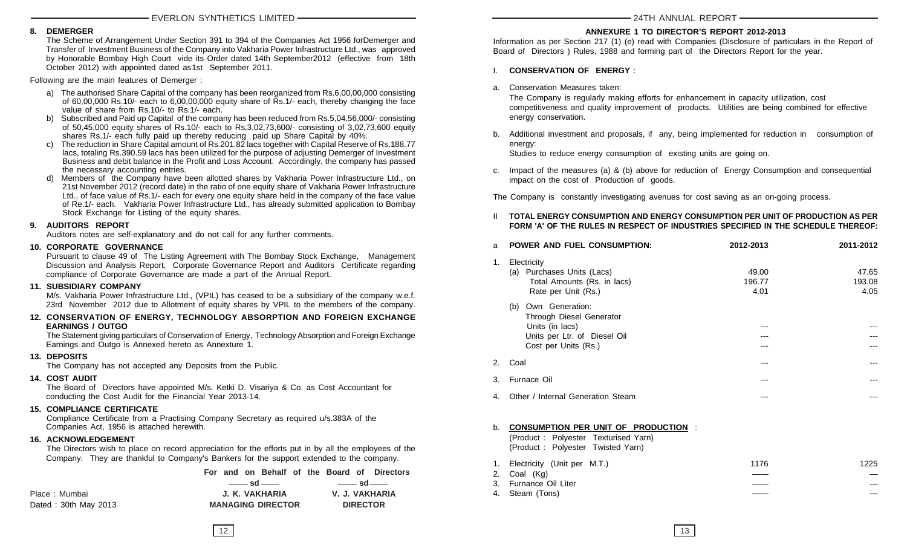# **8. DEMERGER**

The Scheme of Arrangement Under Section 391 to 394 of the Companies Act 1956 forDemerger and Transfer of Investment Business of the Company into Vakharia Power Infrastructure Ltd., was approved by Honorable Bombay High Court vide its Order dated 14th September2012 (effective from 18th October 2012) with appointed dated as1st September 2011.

Following are the main features of Demerger :

- a) The authorised Share Capital of the company has been reorganized from Rs.6,00,00,000 consisting of 60,00,000 Rs.10/- each to 6,00,00,000 equity share of Rs.1/- each, thereby changing the face value of share from Rs.10/- to Rs.1/- each.
- b) Subscribed and Paid up Capital of the company has been reduced from Rs.5,04,56,000/- consisting of 50,45,000 equity shares of Rs.10/- each to Rs,3,02,73,600/- consisting of 3,02,73,600 equity shares Rs.1/- each fully paid up thereby reducing paid up Share Capital by 40%.
- c) The reduction in Share Capital amount of Rs.201.82 lacs together with Capital Reserve of Rs.188.77 lacs, totaling Rs.390.59 lacs has been utilized for the purpose of adjusting Demerger of Investment Business and debit balance in the Profit and Loss Account. Accordingly, the company has passed the necessary accounting entries.
- Members of the Company have been allotted shares by Vakharia Power Infrastructure Ltd., on 21st November 2012 (record date) in the ratio of one equity share of Vakharia Power Infrastructure Ltd., of face value of Rs.1/- each for every one equity share held in the company of the face value of Re.1/- each. Vakharia Power Infrastructure Ltd., has already submitted application to Bombay Stock Exchange for Listing of the equity shares.

# **9. AUDITORS REPORT**

Auditors notes are self-explanatory and do not call for any further comments.

# **10. CORPORATE GOVERNANCE**

Pursuant to clause 49 of The Listing Agreement with The Bombay Stock Exchange, Management Discussion and Analysis Report, Corporate Governance Report and Auditors Certificate regarding compliance of Corporate Governance are made a part of the Annual Report.

# **11. SUBSIDIARY COMPANY**

M/s. Vakharia Power Infrastructure Ltd., (VPIL) has ceased to be a subsidiary of the company w.e.f. 23rd November 2012 due to Allotment of equity shares by VPIL to the members of the company.

# **12. CONSERVATION OF ENERGY, TECHNOLOGY ABSORPTION AND FOREIGN EXCHANGE EARNINGS / OUTGO**

The Statement giving particulars of Conservation of Energy, Technology Absorption and Foreign Exchange Earnings and Outgo is Annexed hereto as Annexture 1.

# **13. DEPOSITS**

The Company has not accepted any Deposits from the Public.

# **14. COST AUDIT**

The Board of Directors have appointed M/s. Ketki D. Visariya & Co. as Cost Accountant for conducting the Cost Audit for the Financial Year 2013-14.

# **15. COMPLIANCE CERTIFICATE**

Compliance Certificate from a Practising Company Secretary as required u/s.383A of the Companies Act, 1956 is attached herewith.

# **16. ACKNOWLEDGEMENT**

The Directors wish to place on record appreciation for the efforts put in by all the employees of the Company. They are thankful to Company's Bankers for the support extended to the company.

**For and on Behalf of the Board of Directors**

|                      | $\frac{1}{\sqrt{1-\frac{1}{2}}}$ sd $\frac{1}{\sqrt{1-\frac{1}{2}}}$ | $\equiv$ sd $\equiv$ |
|----------------------|----------------------------------------------------------------------|----------------------|
| Place : Mumbai       | J. K. VAKHARIA                                                       | V. J. VAKHARIA       |
| Dated: 30th May 2013 | <b>MANAGING DIRECTOR</b>                                             | <b>DIRECTOR</b>      |

# **ANNEXURE 1 TO DIRECTOR'S REPORT 2012-2013**

Information as per Section 217 (1) (e) read with Companies (Disclosure of particulars in the Report of Board of Directors ) Rules, 1988 and forming part of the Directors Report for the year.

# I. **CONSERVATION OF ENERGY** :

a. Conservation Measures taken:

The Company is regularly making efforts for enhancement in capacity utilization, cost competitiveness and quality improvement of products. Utilities are being combined for effective energy conservation.

b. Additional investment and proposals, if any, being implemented for reduction in consumption of energy:

Studies to reduce energy consumption of existing units are going on.

c. Impact of the measures (a) & (b) above for reduction of Energy Consumption and consequential impact on the cost of Production of goods.

The Company is constantly investigating avenues for cost saving as an on-going process.

# II **TOTAL ENERGY CONSUMPTION AND ENERGY CONSUMPTION PER UNIT OF PRODUCTION AS PER FORM 'A' OF THE RULES IN RESPECT OF INDUSTRIES SPECIFIED IN THE SCHEDULE THEREOF:**

| a                    | <b>POWER AND FUEL CONSUMPTION:</b>                                                                                            | 2012-2013               | 2011-2012               |
|----------------------|-------------------------------------------------------------------------------------------------------------------------------|-------------------------|-------------------------|
| 1.                   | Electricity<br>(a) Purchases Units (Lacs)<br>Total Amounts (Rs. in lacs)<br>Rate per Unit (Rs.)                               | 49.00<br>196.77<br>4.01 | 47.65<br>193.08<br>4.05 |
|                      | Own Generation:<br>(b)<br>Through Diesel Generator<br>Units (in lacs)<br>Units per Ltr. of Diesel Oil<br>Cost per Units (Rs.) | ---                     |                         |
| 2.                   | Coal                                                                                                                          |                         |                         |
| 3.                   | Furnace Oil                                                                                                                   | ---                     |                         |
| 4.                   | Other / Internal Generation Steam                                                                                             | ---                     |                         |
| $h_{-}$              | <b>CONSUMPTION PER UNIT OF PRODUCTION:</b><br>(Product: Polyester Texturised Yarn)<br>(Product: Polyester Twisted Yarn)       |                         |                         |
| 1.<br>2.<br>3.<br>4. | Electricity (Unit per M.T.)<br>Coal (Kg)<br>Furnance Oil Liter<br>Steam (Tons)                                                | 1176                    | 1225                    |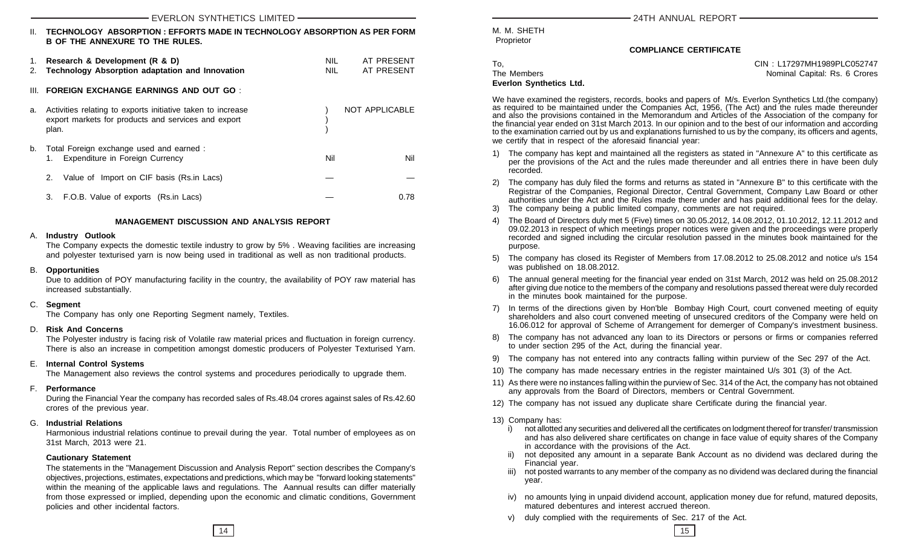| $\Pi$ .  | EVERLON SYNTHETICS LIMITED<br>TECHNOLOGY ABSORPTION : EFFORTS MADE IN TECHNOLOGY ABSORPTION AS PER FORM<br><b>B OF THE ANNEXURE TO THE RULES.</b> |                    |                          |
|----------|---------------------------------------------------------------------------------------------------------------------------------------------------|--------------------|--------------------------|
| 1.<br>2. | Research & Development (R & D)<br><b>Technology Absorption adaptation and Innovation</b>                                                          | NIL.<br><b>NIL</b> | AT PRESENT<br>AT PRESENT |
| III.     | <b>FOREIGN EXCHANGE EARNINGS AND OUT GO :</b>                                                                                                     |                    |                          |
| a.       | Activities relating to exports initiative taken to increase<br>export markets for products and services and export<br>plan.                       |                    | NOT APPLICABLE           |
| b.       | Total Foreign exchange used and earned:<br>Expenditure in Foreign Currency<br>1.                                                                  | Nil                | Nil                      |
|          | 2.<br>Value of Import on CIF basis (Rs.in Lacs)                                                                                                   |                    |                          |
|          | 3.<br>F.O.B. Value of exports (Rs.in Lacs)                                                                                                        |                    | 0.78                     |

# **MANAGEMENT DISCUSSION AND ANALYSIS REPORT**

### A. **Industry Outlook**

The Company expects the domestic textile industry to grow by 5% . Weaving facilities are increasing and polyester texturised yarn is now being used in traditional as well as non traditional products.

### B. **Opportunities**

Due to addition of POY manufacturing facility in the country, the availability of POY raw material has increased substantially.

# C. **Segment**

The Company has only one Reporting Segment namely, Textiles.

# D. **Risk And Concerns**

The Polyester industry is facing risk of Volatile raw material prices and fluctuation in foreign currency. There is also an increase in competition amongst domestic producers of Polyester Texturised Yarn.

# E. **Internal Control Systems**

The Management also reviews the control systems and procedures periodically to upgrade them.

# F. **Performance**

During the Financial Year the company has recorded sales of Rs.48.04 crores against sales of Rs.42.60 crores of the previous year.

# G. **Industrial Relations**

Harmonious industrial relations continue to prevail during the year. Total number of employees as on 31st March, 2013 were 21.

# **Cautionary Statement**

The statements in the "Management Discussion and Analysis Report" section describes the Company's objectives, projections, estimates, expectations and predictions, which may be "forward looking statements" within the meaning of the applicable laws and regulations. The Aannual results can differ materially from those expressed or implied, depending upon the economic and climatic conditions, Government policies and other incidental factors.

# M. M. SHETH Proprietor

# 24TH ANNUAL REPORT

# **COMPLIANCE CERTIFICATE**

**Everlon Synthetics Ltd.**

To, CIN : L17297MH1989PLC052747 The Members **Nominal Capital: Rs. 6 Crores** Nominal Capital: Rs. 6 Crores

We have examined the registers, records, books and papers of M/s. Everlon Synthetics Ltd.(the company) as required to be maintained under the Companies Act, 1956, (The Act) and the rules made thereunder and also the provisions contained in the Memorandum and Articles of the Association of the company for the financial year ended on 31st March 2013. In our opinion and to the best of our information and according to the examination carried out by us and explanations furnished to us by the company, its officers and agents, we certify that in respect of the aforesaid financial year:

- 1) The company has kept and maintained all the registers as stated in "Annexure A" to this certificate as per the provisions of the Act and the rules made thereunder and all entries there in have been duly recorded.
- 2) The company has duly filed the forms and returns as stated in "Annexure B" to this certificate with the Registrar of the Companies, Regional Director, Central Government, Company Law Board or other authorities under the Act and the Rules made there under and has paid additional fees for the delay.
- 3) The company being a public limited company, comments are not required.
- 4) The Board of Directors duly met 5 (Five) times on 30.05.2012, 14.08.2012, 01.10.2012, 12.11.2012 and 09.02.2013 in respect of which meetings proper notices were given and the proceedings were properly recorded and signed including the circular resolution passed in the minutes book maintained for the purpose.
- 5) The company has closed its Register of Members from 17.08.2012 to 25.08.2012 and notice u/s 154 was published on 18.08.2012.
- 6) The annual general meeting for the financial year ended on 31st March, 2012 was held on 25.08.2012 after giving due notice to the members of the company and resolutions passed thereat were duly recorded in the minutes book maintained for the purpose.
- 7) In terms of the directions given by Hon'ble Bombay High Court, court convened meeting of equity shareholders and also court convened meeting of unsecured creditors of the Company were held on 16.06.012 for approval of Scheme of Arrangement for demerger of Company's investment business.
- 8) The company has not advanced any loan to its Directors or persons or firms or companies referred to under section 295 of the Act, during the financial year.
- 9) The company has not entered into any contracts falling within purview of the Sec 297 of the Act.
- 10) The company has made necessary entries in the register maintained U/s 301 (3) of the Act.
- 11) As there were no instances falling within the purview of Sec. 314 of the Act, the company has not obtained any approvals from the Board of Directors, members or Central Government.
- 12) The company has not issued any duplicate share Certificate during the financial year.
- 13) Company has:
	- i) not allotted any securities and delivered all the certificates on lodgment thereof for transfer/ transmission and has also delivered share certificates on change in face value of equity shares of the Company in accordance with the provisions of the Act.
	- ii) not deposited any amount in a separate Bank Account as no dividend was declared during the Financial year.
	- iii) not posted warrants to any member of the company as no dividend was declared during the financial year.
	- iv) no amounts lying in unpaid dividend account, application money due for refund, matured deposits, matured debentures and interest accrued thereon.

15

v) duly complied with the requirements of Sec. 217 of the Act.

14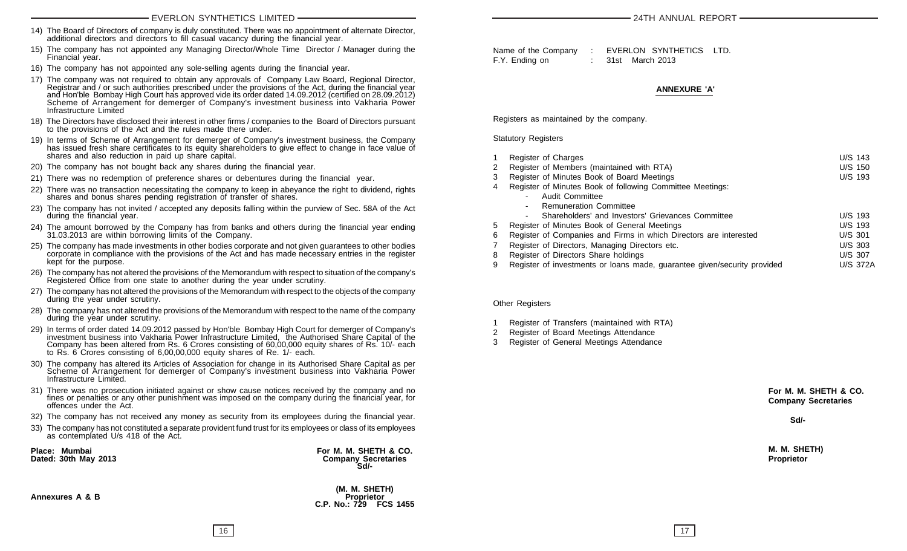- 14) The Board of Directors of company is duly constituted. There was no appointment of alternate Director, additional directors and directors to fill casual vacancy during the financial year.
- 15) The company has not appointed any Managing Director/Whole Time Director / Manager during the Financial year.
- 16) The company has not appointed any sole-selling agents during the financial year.
- 17) The company was not required to obtain any approvals of Company Law Board, Regional Director, Registrar and / or such authorities prescribed under the provisions of the Act, during the financial year and Hon'ble Bombay High Court has approved vide its order dated 14.09.2012 (certified on 28.09.2012) Scheme of Arrangement for demerger of Company's investment business into Vakharia Power Infrastructure Limited
- 18) The Directors have disclosed their interest in other firms / companies to the Board of Directors pursuant to the provisions of the Act and the rules made there under.
- 19) In terms of Scheme of Arrangement for demerger of Company's investment business, the Company has issued fresh share certificates to its equity shareholders to give effect to change in face value of shares and also reduction in paid up share capital.
- 20) The company has not bought back any shares during the financial year.
- 21) There was no redemption of preference shares or debentures during the financial year.
- 22) There was no transaction necessitating the company to keep in abeyance the right to dividend, rights shares and bonus shares pending registration of transfer of shares.
- 23) The company has not invited / accepted any deposits falling within the purview of Sec. 58A of the Act during the financial year.
- 24) The amount borrowed by the Company has from banks and others during the financial year ending 31.03.2013 are within borrowing limits of the Company.
- 25) The company has made investments in other bodies corporate and not given guarantees to other bodies corporate in compliance with the provisions of the Act and has made necessary entries in the register kept for the purpose.
- 26) The company has not altered the provisions of the Memorandum with respect to situation of the company's Registered Office from one state to another during the year under scrutiny.
- 27) The company has not altered the provisions of the Memorandum with respect to the objects of the company during the year under scrutiny.
- 28) The company has not altered the provisions of the Memorandum with respect to the name of the company during the year under scrutiny.
- 29) In terms of order dated 14.09.2012 passed by Hon'ble Bombay High Court for demerger of Company's investment business into Vakharia Power Infrastructure Limited, the Authorised Share Capital of the Company has been altered from Rs. 6 Crores consisting of 60,00,000 equity shares of Rs. 10/- each to Rs. 6 Crores consisting of 6,00,00,000 equity shares of Re. 1/- each.
- 30) The company has altered its Articles of Association for change in its Authorised Share Capital as per Scheme of Arrangement for demerger of Company's investment business into Vakharia Power Infrastructure Limited.
- 31) There was no prosecution initiated against or show cause notices received by the company and no fines or penalties or any other punishment was imposed on the company during the financial year, for offences under the Act.
- 32) The company has not received any money as security from its employees during the financial year.
- 33) The company has not constituted a separate provident fund trust for its employees or class of its employees as contemplated U/s 418 of the Act.

Place: Mumbai **For M. M. SHETH & CO.**<br>
Dated: 30th May 2013 **Company Secretaries**<br>Sd/-

| Name of the Company | EVERLON SYNTHETICS LTD. |
|---------------------|-------------------------|
| F.Y. Ending on      | 31st March 2013         |

## **ANNEXURE 'A'**

Registers as maintained by the company.

### Statutory Registers

|   | <b>Register of Charges</b>                                               | U/S 143         |
|---|--------------------------------------------------------------------------|-----------------|
|   | Register of Members (maintained with RTA)                                | U/S 150         |
| 3 | Register of Minutes Book of Board Meetings                               | U/S 193         |
| 4 | Register of Minutes Book of following Committee Meetings:                |                 |
|   | <b>Audit Committee</b><br>٠                                              |                 |
|   | <b>Remuneration Committee</b><br>۰.                                      |                 |
|   | Shareholders' and Investors' Grievances Committee                        | U/S 193         |
| 5 | Register of Minutes Book of General Meetings                             | U/S 193         |
| 6 | Register of Companies and Firms in which Directors are interested        | U/S 301         |
|   | Register of Directors, Managing Directors etc.                           | U/S 303         |
| 8 | Register of Directors Share holdings                                     | U/S 307         |
| 9 | Register of investments or loans made, guarantee given/security provided | <b>U/S 372A</b> |

## **Other Registers**

- 1 Register of Transfers (maintained with RTA)
- 2 Register of Board Meetings Attendance
- 3 Register of General Meetings Attendance

# **For M. M. SHETH & CO. Company Secretaries**

**Sd/-** State of the state of the state of the state of the state of the state of the Sd/-

**M. M. SHETH) Proprietor**

**(M. M. SHETH) C.P. No.: 729 FCS 1455**

16 17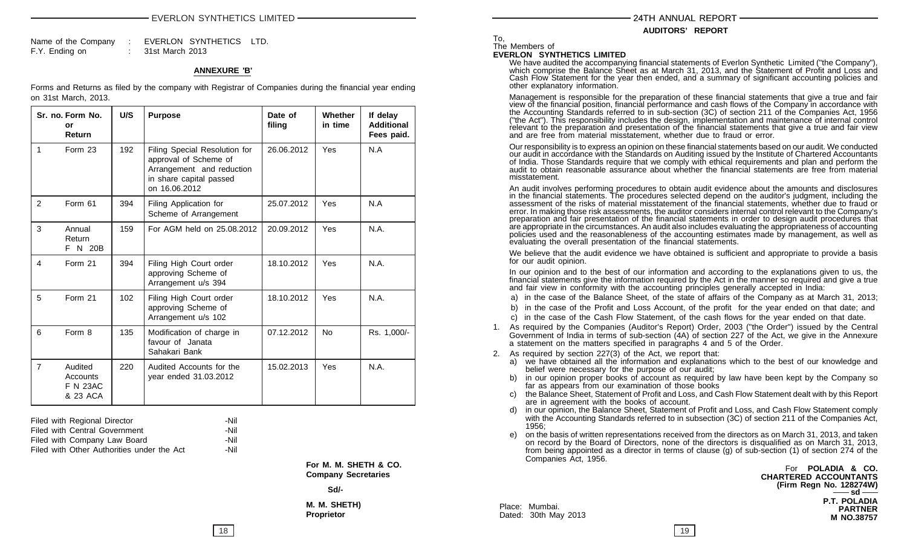Name of the Company : EVERLON SYNTHETICS LTD. F.Y. Ending on : 31st March 2013

# **ANNEXURE 'B'**

Forms and Returns as filed by the company with Registrar of Companies during the financial year ending on 31st March, 2013.

|                | Sr. no. Form No.<br>or<br>Return                   | U/S | <b>Purpose</b>                                                                                                                  | Date of<br>filina | Whether<br>in time | If delay<br><b>Additional</b><br>Fees paid. |
|----------------|----------------------------------------------------|-----|---------------------------------------------------------------------------------------------------------------------------------|-------------------|--------------------|---------------------------------------------|
| 1              | Form 23                                            | 192 | Filing Special Resolution for<br>approval of Scheme of<br>Arrangement and reduction<br>in share capital passed<br>on 16.06.2012 | 26.06.2012        | <b>Yes</b>         | N.A                                         |
| 2              | Form 61                                            | 394 | Filing Application for<br>Scheme of Arrangement                                                                                 | 25.07.2012        | Yes                | N.A                                         |
| 3              | Annual<br>Return<br>F N 20B                        | 159 | For AGM held on 25.08.2012                                                                                                      | 20.09.2012        | Yes                | N.A.                                        |
| 4              | Form 21                                            | 394 | Filing High Court order<br>approving Scheme of<br>Arrangement u/s 394                                                           | 18.10.2012        | Yes                | N.A.                                        |
| 5              | Form 21                                            | 102 | Filing High Court order<br>approving Scheme of<br>Arrangement u/s 102                                                           | 18.10.2012        | Yes                | N.A.                                        |
| 6              | Form 8                                             | 135 | Modification of charge in<br>favour of Janata<br>Sahakari Bank                                                                  | 07.12.2012        | No                 | Rs. 1,000/-                                 |
| $\overline{7}$ | Audited<br>Accounts<br><b>F N 23AC</b><br>& 23 ACA | 220 | Audited Accounts for the<br>year ended 31.03.2012                                                                               | 15.02.2013        | Yes                | N.A.                                        |

|  | Filed with Regional Director               | -Nil |
|--|--------------------------------------------|------|
|  | <b>Filed with Central Government</b>       | -Nil |
|  | Filed with Company Law Board               | -Nil |
|  | Filed with Other Authorities under the Act | -Nil |

**For M. M. SHETH & CO. Company Secretaries**

**Sd/-** State of the state of the state of the state of the state of the state of the Sd/-

**M. M. SHETH) Proprietor**

24TH ANNUAL REPORT

# **AUDITORS' REPORT**

### To, The Members of

## **EVERLON SYNTHETICS LIMITED**

We have audited the accompanying financial statements of Everlon Synthetic Limited ("the Company"), which comprise the Balance Sheet as at March 31, 2013, and the Statement of Profit and Loss and Cash Flow Statement for the year then ended, and a summary of significant accounting policies and other explanatory information.

Management is responsible for the preparation of these financial statements that give a true and fair view of the financial position, financial performance and cash flows of the Company in accordance with the Accounting Standards referred to in sub-section (3C) of section 211 of the Companies Act, 1956 ("the Act"). This responsibility includes the design, implementation and maintenance of internal control relevant to the preparation and presentation of the financial statements that give a true and fair view and are free from material misstatement, whether due to fraud or error.

Our responsibility is to express an opinion on these financial statements based on our audit. We conducted our audit in accordance with the Standards on Auditing issued by the Institute of Chartered Accountants of India. Those Standards require that we comply with ethical requirements and plan and perform the audit to obtain reasonable assurance about whether the financial statements are free from material misstatement.

An audit involves performing procedures to obtain audit evidence about the amounts and disclosures in the financial statements. The procedures selected depend on the auditor's judgment, including the assessment of the risks of material misstatement of the financial statements, whether due to fraud or error. In making those risk assessments, the auditor considers internal control relevant to the Company's preparation and fair presentation of the financial statements in order to design audit procedures that are appropriate in the circumstances. An audit also includes evaluating the appropriateness of accounting policies used and the reasonableness of the accounting estimates made by management, as well as evaluating the overall presentation of the financial statements.

We believe that the audit evidence we have obtained is sufficient and appropriate to provide a basis for our audit opinion.

In our opinion and to the best of our information and according to the explanations given to us, the financial statements give the information required by the Act in the manner so required and give a true and fair view in conformity with the accounting principles generally accepted in India:

- a) in the case of the Balance Sheet, of the state of affairs of the Company as at March 31, 2013;
- b) in the case of the Profit and Loss Account, of the profit for the year ended on that date; and
- c) in the case of the Cash Flow Statement, of the cash flows for the year ended on that date.
- 1. As required by the Companies (Auditor's Report) Order, 2003 ("the Order") issued by the Central Government of India in terms of sub-section (4A) of section 227 of the Act, we give in the Annexure a statement on the matters specified in paragraphs 4 and 5 of the Order.
- 2. As required by section 227(3) of the Act, we report that:
	- a) we have obtained all the information and explanations which to the best of our knowledge and belief were necessary for the purpose of our audit;
	- b) in our opinion proper books of account as required by law have been kept by the Company so far as appears from our examination of those books
	- c) the Balance Sheet, Statement of Profit and Loss, and Cash Flow Statement dealt with by this Report are in agreement with the books of account.
	- in our opinion, the Balance Sheet, Statement of Profit and Loss, and Cash Flow Statement comply with the Accounting Standards referred to in subsection (3C) of section 211 of the Companies Act, 1956;
	- e) on the basis of written representations received from the directors as on March 31, 2013, and taken on record by the Board of Directors, none of the directors is disqualified as on March 31, 2013, from being appointed as a director in terms of clause (g) of sub-section (1) of section 274 of the Companies Act, 1956.

 For **POLADIA & CO. CHARTERED ACCOUNTANTS (Firm Regn No. 128274W) P.T. POLADIA PARTNER M NO.38757** — sd —

Place: Mumbai. Dated: 30th May 2013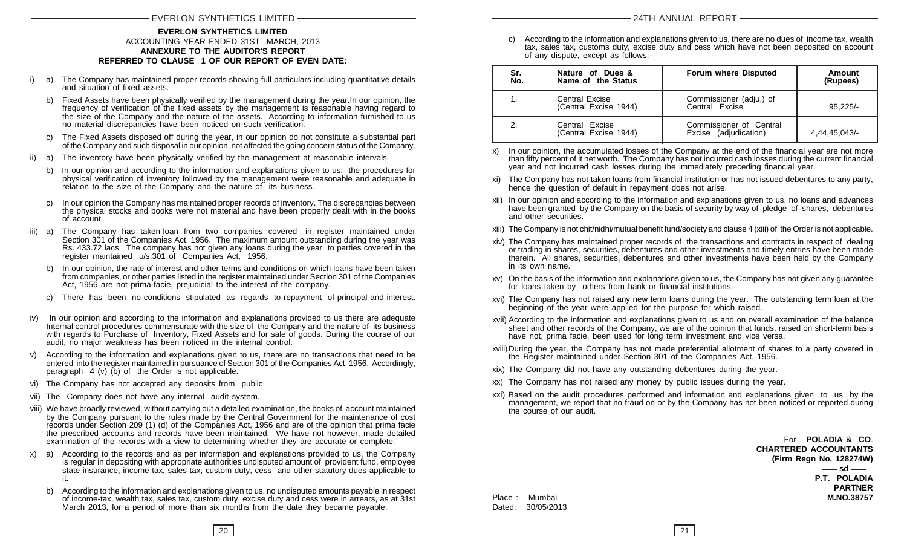# **EVERLON SYNTHETICS LIMITED** ACCOUNTING YEAR ENDED 31ST MARCH, 2013 **ANNEXURE TO THE AUDITOR'S REPORT REFERRED TO CLAUSE 1 OF OUR REPORT OF EVEN DATE:**

- i) a) The Company has maintained proper records showing full particulars including quantitative details and situation of fixed assets.
	- b) Fixed Assets have been physically verified by the management during the year.In our opinion, the frequency of verification of the fixed assets by the management is reasonable having regard to the size of the Company and the nature of the assets. According to information furnished to us no material discrepancies have been noticed on such verification.
	- c) The Fixed Assets disposed off during the year, in our opinion do not constitute a substantial part of the Company and such disposal in our opinion, not affected the going concern status of the Company.
- ii) a) The inventory have been physically verified by the management at reasonable intervals.
	- b) In our opinion and according to the information and explanations given to us, the procedures for physical verification of inventory followed by the management were reasonable and adequate in relation to the size of the Company and the nature of its business.
	- c) In our opinion the Company has maintained proper records of inventory. The discrepancies between the physical stocks and books were not material and have been properly dealt with in the books of account.
- iii) a) The Company has taken loan from two companies covered in register maintained under Section 301 of the Companies Act. 1956. The maximum amount outstanding during the year was Rs. 433.72 lacs. The company has not given any loans during the year to parties covered in the register maintained u/s.301 of Companies Act, 1956.
	- b) In our opinion, the rate of interest and other terms and conditions on which loans have been taken from companies, or other parties listed in the register maintained under Section 301 of the Companies Act, 1956 are not prima-facie, prejudicial to the interest of the company.
	- c) There has been no conditions stipulated as regards to repayment of principal and interest.
- iv) In our opinion and according to the information and explanations provided to us there are adequate Internal control procedures commensurate with the size of the Company and the nature of its business with regards to Purchase of Inventory, Fixed Assets and for sale of goods. During the course of our audit, no major weakness has been noticed in the internal control.
- v) According to the information and explanations given to us, there are no transactions that need to be entered into the register maintained in pursuance of Section 301 of the Companies Act, 1956. Accordingly, paragraph  $4$  (v) (b) of the Order is not applicable.
- vi) The Company has not accepted any deposits from public.
- vii) The Company does not have any internal audit system.
- viii) We have broadly reviewed, without carrying out a detailed examination, the books of account maintained by the Company pursuant to the rules made by the Central Government for the maintenance of cost records under Section 209 (1) (d) of the Companies Act, 1956 and are of the opinion that prima facie the prescribed accounts and records have been maintained. We have not however, made detailed examination of the records with a view to determining whether they are accurate or complete.
- x) a) According to the records and as per information and explanations provided to us, the Company is regular in depositing with appropriate authorities undisputed amount of provident fund, employee state insurance, income tax, sales tax, custom duty, cess and other statutory dues applicable to it.
	- b) According to the information and explanations given to us, no undisputed amounts payable in respect of income-tax, wealth tax, sales tax, custom duty, excise duty and cess were in arrears, as at 31st March 2013, for a period of more than six months from the date they became payable.

c) According to the information and explanations given to us, there are no dues of income tax, wealth tax, sales tax, customs duty, excise duty and cess which have not been deposited on account of any dispute, except as follows:-

| Sr.<br>No. | Nature of Dues &<br>Name of the Status         | Forum where Disputed                             | Amount<br>(Rupees) |
|------------|------------------------------------------------|--------------------------------------------------|--------------------|
| 1.         | <b>Central Excise</b><br>(Central Excise 1944) | Commissioner (adju.) of<br>Central Excise        | $95.225/-$         |
| 2.         | Central Excise<br>(Central Excise 1944)        | Commissioner of Central<br>Excise (adjudication) | 4,44,45,043/-      |

- x) In our opinion, the accumulated losses of the Company at the end of the financial year are not more than fifty percent of it net worth. The Company has not incurred cash losses during the current financial year and not incurred cash losses during the immediately preceding financial year.
- xi) The Company has not taken loans from financial institution or has not issued debentures to any party, hence the question of default in repayment does not arise.
- xii) In our opinion and according to the information and explanations given to us, no loans and advances have been granted by the Company on the basis of security by way of pledge of shares, debentures and other securities.
- xiii) The Company is not chit/nidhi/mutual benefit fund/society and clause 4 (xiii) of the Order is not applicable.
- xiv) The Company has maintained proper records of the transactions and contracts in respect of dealing or trading in shares, securities, debentures and other investments and timely entries have been made therein. All shares, securities, debentures and other investments have been held by the Company in its own name.
- xv) On the basis of the information and explanations given to us, the Company has not given any guarantee for loans taken by others from bank or financial institutions.
- xvi) The Company has not raised any new term loans during the year. The outstanding term loan at the beginning of the year were applied for the purpose for which raised.
- xvii) According to the information and explanations given to us and on overall examination of the balance sheet and other records of the Company, we are of the opinion that funds, raised on short-term basis have not, prima facie, been used for long term investment and vice versa.
- xviii)During the year, the Company has not made preferential allotment of shares to a party covered in the Register maintained under Section 301 of the Companies Act, 1956.
- xix) The Company did not have any outstanding debentures during the year.
- xx) The Company has not raised any money by public issues during the year.
- xxi) Based on the audit procedures performed and information and explanations given to us by the management, we report that no fraud on or by the Company has not been noticed or reported during the course of our audit.

For **POLADIA & CO**. **CHARTERED ACCOUNTANTS (Firm Regn No. 128274W) P.T. POLADIA PARTNER** Place : Mumbai **M.NO.38757 sd**

Dated: 30/05/2013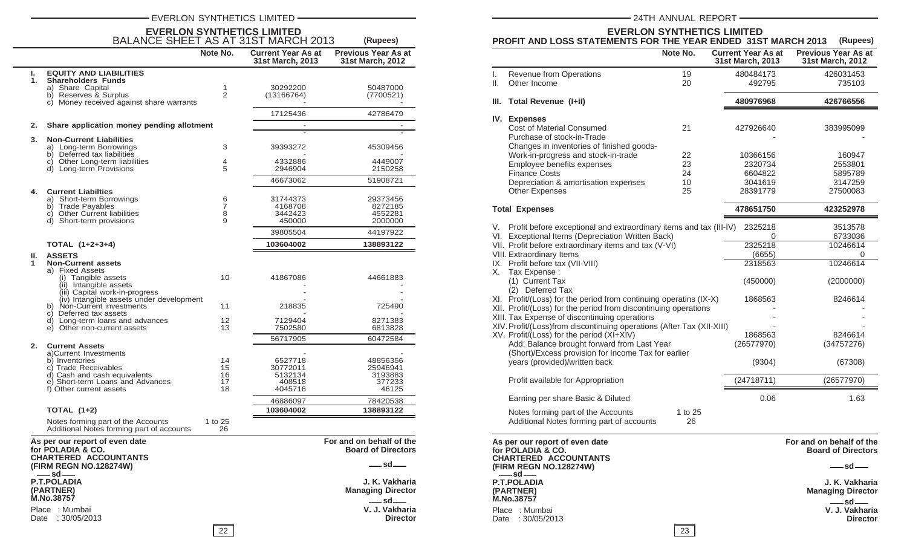| <b>EVERLON SYNTHETICS LIMITED<br/>BALANCE SHEET AS AT 31ST MARCH 2013</b><br>(Rupees) |                                                                                 |               |                                               |                                                       |
|---------------------------------------------------------------------------------------|---------------------------------------------------------------------------------|---------------|-----------------------------------------------|-------------------------------------------------------|
|                                                                                       |                                                                                 | Note No.      | <b>Current Year As at</b><br>31st March, 2013 | <b>Previous Year As at</b><br>31st March, 2012        |
| ı.<br><b>EQUITY AND LIABILITIES</b>                                                   |                                                                                 |               |                                               |                                                       |
| 1.<br><b>Shareholders Funds</b><br>a) Share Capital                                   |                                                                                 | 1             | 30292200                                      | 50487000                                              |
| b) Reserves & Surplus                                                                 |                                                                                 | 2             | (13166764)                                    | (7700521)                                             |
|                                                                                       | c) Money received against share warrants                                        |               |                                               |                                                       |
|                                                                                       |                                                                                 |               | 17125436                                      | 42786479                                              |
| 2.                                                                                    | Share application money pending allotment                                       |               |                                               |                                                       |
| 3.<br><b>Non-Current Liabilities</b>                                                  |                                                                                 |               |                                               |                                                       |
| a) Long-term Borrowings                                                               |                                                                                 | 3             | 39393272                                      | 45309456                                              |
| b) Deferred tax liabilities<br>c) Other Long-term liabilities                         |                                                                                 | 4             | 4332886                                       | 4449007                                               |
| d) Long-term Provisions                                                               |                                                                                 | 5             | 2946904                                       | 2150258                                               |
|                                                                                       |                                                                                 |               | 46673062                                      | 51908721                                              |
| <b>Current Liabilties</b><br>4.                                                       |                                                                                 |               |                                               |                                                       |
| a) Short-term Borrowings<br>b) Trade Payables                                         |                                                                                 | 6<br>7        | 31744373<br>4168708                           | 29373456<br>8272185                                   |
| c) Other Current liabilities                                                          |                                                                                 | 8             | 3442423                                       | 4552281                                               |
| d) Short-term provisions                                                              |                                                                                 | 9             | 450000                                        | 2000000                                               |
|                                                                                       |                                                                                 |               | 39805504                                      | 44197922                                              |
| TOTAL (1+2+3+4)                                                                       |                                                                                 |               | 103604002                                     | 138893122                                             |
| н.<br><b>ASSETS</b><br><b>Non-Current assets</b><br>1<br>a) Fixed Assets              |                                                                                 |               |                                               |                                                       |
| (i) Tangible assets                                                                   |                                                                                 | 10            | 41867086                                      | 44661883                                              |
| (ii) Intangible assets                                                                | (iii) Capital work-in-progress                                                  |               |                                               |                                                       |
|                                                                                       | (iv) Intangible assets under development                                        |               |                                               |                                                       |
| b) Non-Current investments<br>c) Deferred tax assets                                  |                                                                                 | 11            | 218835                                        | 725490                                                |
|                                                                                       | d) Long-term loans and advances                                                 | 12            | 7129404                                       | 8271383                                               |
| e) Other non-current assets                                                           |                                                                                 | 13            | 7502580                                       | 6813828                                               |
|                                                                                       |                                                                                 |               | 56717905                                      | 60472584                                              |
| 2.<br><b>Current Assets</b><br>a)Current Investments                                  |                                                                                 |               |                                               |                                                       |
| b) Inventories                                                                        |                                                                                 | 14            | 6527718                                       | 48856356                                              |
| c) Trade Receivables                                                                  |                                                                                 | 15            | 30772011                                      | 25946941                                              |
| d) Cash and cash equivalents                                                          | e) Short-term Loans and Advances                                                | 16<br>17      | 5132134<br>408518                             | 3193883<br>377233                                     |
| f) Other current assets                                                               |                                                                                 | 18            | 4045716                                       | 46125                                                 |
|                                                                                       |                                                                                 |               | 46886097                                      | 78420538                                              |
| TOTAL (1+2)                                                                           |                                                                                 |               | 103604002                                     | 138893122                                             |
|                                                                                       | Notes forming part of the Accounts<br>Additional Notes forming part of accounts | 1 to 25<br>26 |                                               |                                                       |
| As per our report of even date<br>for POLADIA & CO.                                   |                                                                                 |               |                                               | For and on behalf of the<br><b>Board of Directors</b> |
| <b>CHARTERED ACCOUNTANTS</b><br>(FIRM REGN NO.128274W)                                |                                                                                 |               |                                               | — sd—                                                 |
| $-$ sd $-$<br>P.T.POLADIA<br>(PARTNER)                                                |                                                                                 |               |                                               | J. K. Vakharia<br><b>Managing Director</b>            |
| M.No.38757                                                                            |                                                                                 |               |                                               | e di                                                  |

Place : Mumbai **V. J. Vakharia sd**

# 24TH ANNUAL REPORT

### **EVERLON SYNTHETICS LIMITED PROFIT AND LOSS STATEMENTS FOR THE YEAR ENDED 31ST MARCH 2013 (Rupees)**

|     |                                                                                 | Note No.      | <b>Current Year As at</b><br>31st March, 2013 | <b>Previous Year As at</b><br>31st March, 2012 |
|-----|---------------------------------------------------------------------------------|---------------|-----------------------------------------------|------------------------------------------------|
| I.  | Revenue from Operations                                                         | 19            | 480484173                                     | 426031453                                      |
| ΙΙ. | Other Income                                                                    | 20            | 492795                                        | 735103                                         |
| Ш.  | <b>Total Revenue (I+II)</b>                                                     |               | 480976968                                     | 426766556                                      |
|     | IV. Expenses                                                                    |               |                                               |                                                |
|     | <b>Cost of Material Consumed</b>                                                | 21            | 427926640                                     | 383995099                                      |
|     | Purchase of stock-in-Trade                                                      |               |                                               |                                                |
|     | Changes in inventories of finished goods-                                       |               |                                               |                                                |
|     | Work-in-progress and stock-in-trade                                             | 22            | 10366156                                      | 160947                                         |
|     | Employee benefits expenses                                                      | 23            | 2320734                                       | 2553801                                        |
|     | <b>Finance Costs</b>                                                            | 24            | 6604822                                       | 5895789                                        |
|     | Depreciation & amortisation expenses                                            | 10            | 3041619                                       | 3147259                                        |
|     | <b>Other Expenses</b>                                                           | 25            | 28391779                                      | 27500083                                       |
|     | <b>Total Expenses</b>                                                           |               | 478651750                                     | 423252978                                      |
|     | V. Profit before exceptional and extraordinary items and tax (III-IV)           |               | 2325218                                       | 3513578                                        |
|     | VI. Exceptional Items (Depreciation Written Back)                               |               | 0                                             | 6733036                                        |
|     | VII. Profit before extraordinary items and tax (V-VI)                           |               | 2325218                                       | 10246614                                       |
|     | VIII. Extraordinary Items                                                       | (6655)        | $\Omega$                                      |                                                |
|     | IX. Profit before tax (VII-VIII)                                                |               | 2318563                                       | 10246614                                       |
| Х.  | Tax Expense:                                                                    |               |                                               |                                                |
|     | (1) Current Tax                                                                 |               | (450000)                                      | (2000000)                                      |
|     | (2) Deferred Tax                                                                |               |                                               |                                                |
|     | XI. Profit/(Loss) for the period from continuing operatins (IX-X)               |               | 1868563                                       | 8246614                                        |
|     | XII. Profit/(Loss) for the period from discontinuing operations                 |               |                                               |                                                |
|     | XIII. Tax Expense of discontinuing operations                                   |               |                                               |                                                |
|     | XIV. Profit/(Loss)from discontinuing operations (After Tax (XII-XIII)           |               |                                               |                                                |
|     | XV. Profit/(Loss) for the period (XI+XIV)                                       |               | 1868563                                       | 8246614                                        |
|     | Add: Balance brought forward from Last Year                                     |               | (26577970)                                    | (34757276)                                     |
|     | (Short)/Excess provision for Income Tax for earlier                             |               |                                               |                                                |
|     | years (provided)/written back                                                   |               | (9304)                                        | (67308)                                        |
|     |                                                                                 |               |                                               |                                                |
|     | Profit available for Appropriation                                              |               | (24718711)                                    | (26577970)                                     |
|     | Earning per share Basic & Diluted                                               |               | 0.06                                          | 1.63                                           |
|     | Notes forming part of the Accounts<br>Additional Notes forming part of accounts | 1 to 25<br>26 |                                               |                                                |

**As per our report of even date For and on behalf of the for POLADIA & CO. Board of Directors CHARTERED ACCOUNTANTS (FIRM REGN NO.128274W) P.T.POLADIA J. K. Vakharia (PARTNER) Managing Director M.No.38757** Find Reserved<br>
P.T.POLADIA<br>
(PARTNER)

Place : Mumbai **V. J. Vakharia** Date : 30/05/2013

**sd**

Sd<br>V. J. Vakharia

Date : 30/05/2013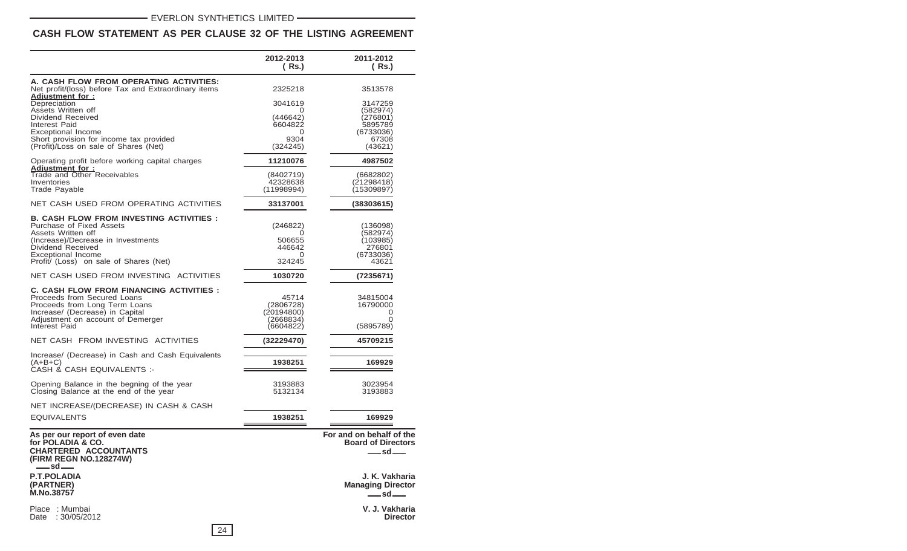# **CASH FLOW STATEMENT AS PER CLAUSE 32 OF THE LISTING AGREEMENT**

|                                                                                                                                                                                                                              | 2012-2013<br>( Rs.)                                          | 2011-2012<br>( Rs.)                                                         |
|------------------------------------------------------------------------------------------------------------------------------------------------------------------------------------------------------------------------------|--------------------------------------------------------------|-----------------------------------------------------------------------------|
| A. CASH FLOW FROM OPERATING ACTIVITIES:<br>Net profit/(loss) before Tax and Extraordinary items                                                                                                                              | 2325218                                                      | 3513578                                                                     |
| <b>Adjustment for:</b><br>Depreciation<br>Assets Written off<br>Dividend Received<br>Interest Paid<br>Exceptional Income<br>Short provision for income tax provided<br>(Profit)/Loss on sale of Shares (Net)                 | 3041619<br>0<br>(446642)<br>6604822<br>0<br>9304<br>(324245) | 3147259<br>(582974)<br>(276801)<br>5895789<br>(6733036)<br>67308<br>(43621) |
| Operating profit before working capital charges                                                                                                                                                                              | 11210076                                                     | 4987502                                                                     |
| Adjustment for:<br><b>Trade and Other Receivables</b><br>Inventories<br>Trade Payable                                                                                                                                        | (8402719)<br>42328638<br>(11998994)                          | (6682802)<br>(21298418)<br>(15309897)                                       |
| NET CASH USED FROM OPERATING ACTIVITIES                                                                                                                                                                                      | 33137001                                                     | (38303615)                                                                  |
| <b>B. CASH FLOW FROM INVESTING ACTIVITIES :</b><br>Purchase of Fixed Assets<br>Assets Written off<br>(Increase)/Decrease in Investments<br>Dividend Received<br>Exceptional Income<br>Profit/ (Loss) on sale of Shares (Net) | (246822)<br>O<br>506655<br>446642<br>0<br>324245             | (136098)<br>(582974)<br>(103985)<br>276801<br>(6733036)<br>43621            |
| NET CASH USED FROM INVESTING ACTIVITIES                                                                                                                                                                                      | 1030720                                                      | (7235671)                                                                   |
| <b>C. CASH FLOW FROM FINANCING ACTIVITIES :</b><br>Proceeds from Secured Loans<br>Proceeds from Long Term Loans<br>Increase/ (Decrease) in Capital<br>Adjustment on account of Demerger<br>Interest Paid                     | 45714<br>(2806728)<br>(20194800)<br>(2668834)<br>(6604822)   | 34815004<br>16790000<br>0<br>0<br>(5895789)                                 |
| NET CASH FROM INVESTING ACTIVITIES                                                                                                                                                                                           | (32229470)                                                   | 45709215                                                                    |
| Increase/ (Decrease) in Cash and Cash Equivalents<br>$(A+B+C)$<br>CASH & CASH EQUIVALENTS :-                                                                                                                                 | 1938251                                                      | 169929                                                                      |
| Opening Balance in the begning of the year<br>Closing Balance at the end of the year                                                                                                                                         | 3193883<br>5132134                                           | 3023954<br>3193883                                                          |
| NET INCREASE/(DECREASE) IN CASH & CASH<br><b>EQUIVALENTS</b>                                                                                                                                                                 | 1938251                                                      | 169929                                                                      |
| As per our report of even date<br>for POLADIA & CO.<br>CHARTERED ACCOUNTANTS<br>(FIRM REGN NO.128274W)<br>— sd—                                                                                                              |                                                              | For and on behalf of the<br><b>Board of Directors</b><br>$-$ sd $-$         |
| <b>P.T.POLADIA</b><br>(PARTNER)<br><b>M.No.38757</b>                                                                                                                                                                         |                                                              | J. K. Vakharia<br><b>Managing Director</b><br>$-$ sd $-$                    |
| Place : Mumbai<br>Date: 30/05/2012<br>24                                                                                                                                                                                     |                                                              | V. J. Vakharia<br><b>Director</b>                                           |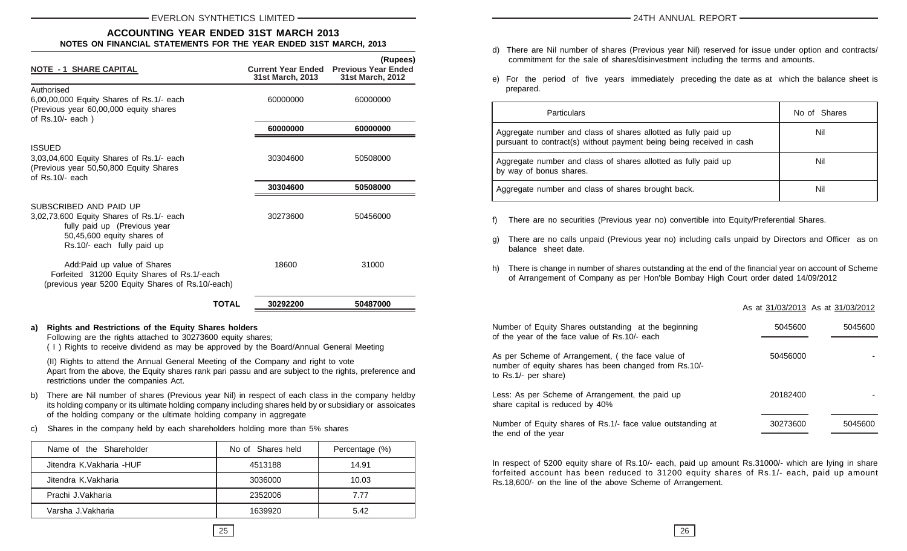# **ACCOUNTING YEAR ENDED 31ST MARCH 2013 NOTES ON FINANCIAL STATEMENTS FOR THE YEAR ENDED 31ST MARCH, 2013**

| <b>NOTE - 1 SHARE CAPITAL</b>                                                                                                                                  | <b>Current Year Ended</b><br>31st March, 2013 | (Rupees)<br><b>Previous Year Ended</b><br>31st March, 2012 |
|----------------------------------------------------------------------------------------------------------------------------------------------------------------|-----------------------------------------------|------------------------------------------------------------|
| Authorised<br>6,00,00,000 Equity Shares of Rs.1/- each<br>(Previous year 60,00,000 equity shares<br>of $Rs.10/-$ each)                                         | 60000000                                      | 60000000                                                   |
|                                                                                                                                                                | 60000000                                      | 60000000                                                   |
| <b>ISSUED</b><br>3,03,04,600 Equity Shares of Rs.1/- each<br>(Previous year 50,50,800 Equity Shares<br>of $Rs.10/-$ each                                       | 30304600                                      | 50508000                                                   |
|                                                                                                                                                                | 30304600                                      | 50508000                                                   |
| SUBSCRIBED AND PAID UP<br>3,02,73,600 Equity Shares of Rs.1/- each<br>fully paid up (Previous year<br>50,45,600 equity shares of<br>Rs.10/- each fully paid up | 30273600                                      | 50456000                                                   |
| Add: Paid up value of Shares<br>Forfeited 31200 Equity Shares of Rs.1/-each<br>(previous year 5200 Equity Shares of Rs.10/-each)                               | 18600                                         | 31000                                                      |
| TOTAL                                                                                                                                                          | 30292200                                      | 50487000                                                   |

# **a) Rights and Restrictions of the Equity Shares holders**

Following are the rights attached to 30273600 equity shares;

( I ) Rights to receive dividend as may be approved by the Board/Annual General Meeting

(II) Rights to attend the Annual General Meeting of the Company and right to vote Apart from the above, the Equity shares rank pari passu and are subject to the rights, preference and restrictions under the companies Act.

- b) There are Nil number of shares (Previous year Nil) in respect of each class in the company heldby its holding company or its ultimate holding company including shares held by or subsidiary or assoicates of the holding company or the ultimate holding company in aggregate
- c) Shares in the company held by each shareholders holding more than 5% shares

| Name of the Shareholder  | No of Shares held | Percentage (%) |
|--------------------------|-------------------|----------------|
| Jitendra K.Vakharia -HUF | 4513188           | 14.91          |
| Jitendra K.Vakharia      | 3036000           | 10.03          |
| Prachi J.Vakharia        | 2352006           | 7 77           |
| Varsha J.Vakharia        | 1639920           | 5.42           |

- d) There are Nil number of shares (Previous year Nil) reserved for issue under option and contracts/ commitment for the sale of shares/disinvestment including the terms and amounts.
- e) For the period of five years immediately preceding the date as at which the balance sheet is prepared.

| <b>Particulars</b>                                                                                                                     | No of Shares |
|----------------------------------------------------------------------------------------------------------------------------------------|--------------|
| Aggregate number and class of shares allotted as fully paid up<br>pursuant to contract(s) without payment being being received in cash | Nil          |
| Aggregate number and class of shares allotted as fully paid up<br>by way of bonus shares.                                              | Nil          |
| Aggregate number and class of shares brought back.                                                                                     | Nil          |

f) There are no securities (Previous year no) convertible into Equity/Preferential Shares.

- g) There are no calls unpaid (Previous year no) including calls unpaid by Directors and Officer as on balance sheet date.
- h) There is change in number of shares outstanding at the end of the financial year on account of Scheme of Arrangement of Company as per Hon'ble Bombay High Court order dated 14/09/2012

# As at 31/03/2013 As at 31/03/2012

| Number of Equity Shares outstanding at the beginning<br>of the year of the face value of Rs.10/- each                               | 5045600  | 5045600 |
|-------------------------------------------------------------------------------------------------------------------------------------|----------|---------|
| As per Scheme of Arrangement, (the face value of<br>number of equity shares has been changed from Rs.10/-<br>to $Rs.1/-$ per share) | 50456000 |         |
| Less: As per Scheme of Arrangement, the paid up<br>share capital is reduced by 40%                                                  | 20182400 |         |
| Number of Equity shares of Rs.1/- face value outstanding at<br>the end of the year                                                  | 30273600 | 5045600 |

In respect of 5200 equity share of Rs.10/- each, paid up amount Rs.31000/- which are lying in share forfeited account has been reduced to 31200 equity shares of Rs.1/- each, paid up amount Rs.18,600/- on the line of the above Scheme of Arrangement.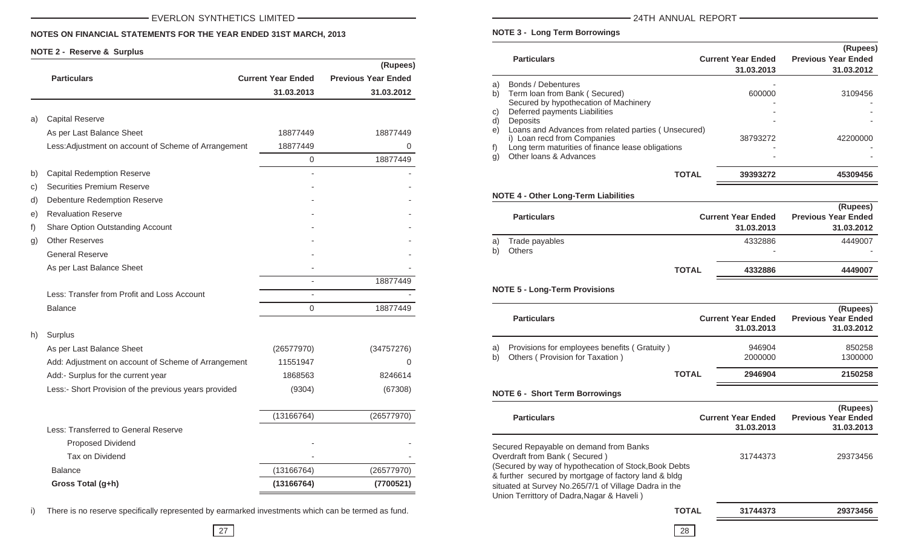# **NOTES ON FINANCIAL STATEMENTS FOR THE YEAR ENDED 31ST MARCH, 2013**

# **NOTE 2 - Reserve & Surplus**

|                                                       |                           | (Rupees)                   |
|-------------------------------------------------------|---------------------------|----------------------------|
| <b>Particulars</b>                                    | <b>Current Year Ended</b> | <b>Previous Year Ended</b> |
|                                                       | 31.03.2013                | 31.03.2012                 |
|                                                       |                           |                            |
| <b>Capital Reserve</b><br>a)                          |                           |                            |
| As per Last Balance Sheet                             | 18877449                  | 18877449                   |
| Less: Adjustment on account of Scheme of Arrangement  | 18877449                  | 0                          |
|                                                       |                           | 18877449<br>$\Omega$       |
| <b>Capital Redemption Reserve</b><br>b)               |                           |                            |
| <b>Securities Premium Reserve</b><br>C)               |                           |                            |
| Debenture Redemption Reserve<br>d)                    |                           |                            |
| <b>Revaluation Reserve</b><br>e)                      |                           |                            |
| f)<br>Share Option Outstanding Account                |                           |                            |
| <b>Other Reserves</b><br>g)                           |                           |                            |
| <b>General Reserve</b>                                |                           |                            |
| As per Last Balance Sheet                             |                           |                            |
|                                                       |                           | 18877449                   |
| Less: Transfer from Profit and Loss Account           |                           | L,                         |
| <b>Balance</b>                                        |                           | $\Omega$<br>18877449       |
| h)<br>Surplus                                         |                           |                            |
| As per Last Balance Sheet                             | (26577970)                | (34757276)                 |
| Add: Adjustment on account of Scheme of Arrangement   | 11551947                  | 0                          |
| Add:- Surplus for the current year                    | 1868563                   | 8246614                    |
| Less:- Short Provision of the previous years provided | (9304)                    | (67308)                    |
|                                                       | (13166764)                | (26577970)                 |
| Less: Transferred to General Reserve                  |                           |                            |
| <b>Proposed Dividend</b>                              |                           |                            |
| Tax on Dividend                                       |                           |                            |
| <b>Balance</b>                                        | (13166764)                | (26577970)                 |
| Gross Total (g+h)                                     | (13166764)                | (7700521)                  |

i) There is no reserve specifically represented by earmarked investments which can be termed as fund.

# **NOTE 3 - Long Term Borrowings**

|                            | <b>Particulars</b>                                                                                                                                                                                                                                                                              |              | <b>Current Year Ended</b><br>31.03.2013 | (Rupees)<br><b>Previous Year Ended</b><br>31.03.2012 |
|----------------------------|-------------------------------------------------------------------------------------------------------------------------------------------------------------------------------------------------------------------------------------------------------------------------------------------------|--------------|-----------------------------------------|------------------------------------------------------|
| a)<br>b)<br>C)<br>d)<br>e) | Bonds / Debentures<br>Term loan from Bank (Secured)<br>Secured by hypothecation of Machinery<br>Deferred payments Liabilities<br>Deposits<br>Loans and Advances from related parties (Unsecured)                                                                                                |              | 600000                                  | 3109456                                              |
| f)<br>$\mathsf{q}$ )       | i) Loan recd from Companies<br>Long term maturities of finance lease obligations<br>Other Ioans & Advances                                                                                                                                                                                      |              | 38793272                                | 42200000                                             |
|                            |                                                                                                                                                                                                                                                                                                 | <b>TOTAL</b> | 39393272                                | 45309456                                             |
|                            | <b>NOTE 4 - Other Long-Term Liabilities</b>                                                                                                                                                                                                                                                     |              |                                         |                                                      |
|                            | <b>Particulars</b>                                                                                                                                                                                                                                                                              |              | <b>Current Year Ended</b><br>31.03.2013 | (Rupees)<br><b>Previous Year Ended</b><br>31.03.2012 |
| a)<br>b)                   | Trade payables<br><b>Others</b>                                                                                                                                                                                                                                                                 |              | 4332886                                 | 4449007                                              |
|                            |                                                                                                                                                                                                                                                                                                 | <b>TOTAL</b> | 4332886                                 | 4449007                                              |
|                            | <b>NOTE 5 - Long-Term Provisions</b>                                                                                                                                                                                                                                                            |              |                                         |                                                      |
|                            | <b>Particulars</b>                                                                                                                                                                                                                                                                              |              | <b>Current Year Ended</b><br>31.03.2013 | (Rupees)<br><b>Previous Year Ended</b><br>31.03.2012 |
| a)<br>b)                   | Provisions for employees benefits (Gratuity)<br>Others (Provision for Taxation)                                                                                                                                                                                                                 |              | 946904<br>2000000                       | 850258<br>1300000                                    |
|                            |                                                                                                                                                                                                                                                                                                 | <b>TOTAL</b> | 2946904                                 | 2150258                                              |
|                            | <b>NOTE 6 - Short Term Borrowings</b>                                                                                                                                                                                                                                                           |              |                                         |                                                      |
|                            | <b>Particulars</b>                                                                                                                                                                                                                                                                              |              | <b>Current Year Ended</b><br>31.03.2013 | (Rupees)<br><b>Previous Year Ended</b><br>31.03.2013 |
|                            |                                                                                                                                                                                                                                                                                                 |              |                                         |                                                      |
|                            | Secured Repayable on demand from Banks<br>Overdraft from Bank (Secured)<br>(Secured by way of hypothecation of Stock, Book Debts<br>& further secured by mortgage of factory land & bldg<br>situated at Survey No.265/7/1 of Village Dadra in the<br>Union Territtory of Dadra, Nagar & Haveli) |              | 31744373                                | 29373456                                             |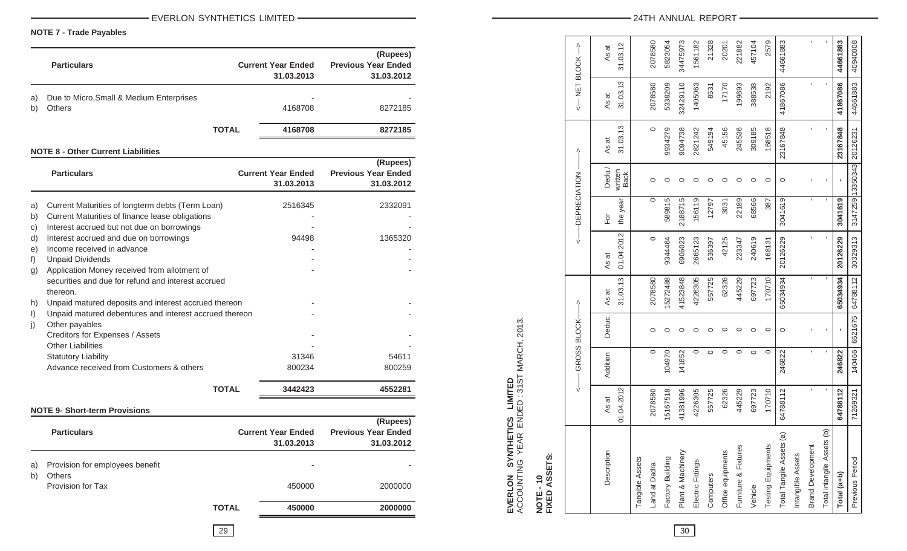# EVERLON SYNTHETICS LIMITED 24TH ANNUAL REPORT

# **NOTE 7 - Trade Payables**

|                 | <b>Particulars</b>                                                                                             |              | <b>Current Year Ended</b><br>31.03.2013 | (Rupees)<br><b>Previous Year Ended</b><br>31.03.2012 |
|-----------------|----------------------------------------------------------------------------------------------------------------|--------------|-----------------------------------------|------------------------------------------------------|
| a)<br>b)        | Due to Micro, Small & Medium Enterprises<br><b>Others</b>                                                      |              | 4168708                                 | 8272185                                              |
|                 |                                                                                                                | <b>TOTAL</b> | 4168708                                 | 8272185                                              |
|                 | <b>NOTE 8 - Other Current Liabilities</b>                                                                      |              |                                         |                                                      |
|                 | <b>Particulars</b>                                                                                             |              | <b>Current Year Ended</b><br>31.03.2013 | (Rupees)<br><b>Previous Year Ended</b><br>31.03.2012 |
| a)              | Current Maturities of longterm debts (Term Loan)                                                               |              | 2516345                                 | 2332091                                              |
| b)              | Current Maturities of finance lease obligations                                                                |              |                                         |                                                      |
| C)              | Interest accrued but not due on borrowings                                                                     |              | 94498                                   | 1365320                                              |
| d)<br>e)        | Interest accrued and due on borrowings<br>Income received in advance                                           |              |                                         |                                                      |
| f)              | <b>Unpaid Dividends</b>                                                                                        |              |                                         |                                                      |
| g)              | Application Money received from allotment of<br>securities and due for refund and interest accrued<br>thereon. |              |                                         |                                                      |
| h)              | Unpaid matured deposits and interest accrued thereon                                                           |              |                                         |                                                      |
| $\vert$ )<br>j) | Unpaid matured debentures and interest accrued thereon<br>Other payables                                       |              |                                         |                                                      |
|                 | Creditors for Expenses / Assets                                                                                |              |                                         |                                                      |
|                 | <b>Other Liabilities</b>                                                                                       |              |                                         |                                                      |
|                 | <b>Statutory Liability</b>                                                                                     |              | 31346                                   | 54611                                                |
|                 | Advance received from Customers & others                                                                       |              | 800234                                  | 800259                                               |
|                 |                                                                                                                | <b>TOTAL</b> | 3442423                                 | 4552281                                              |
|                 | <b>NOTE 9- Short-term Provisions</b>                                                                           |              |                                         |                                                      |
|                 |                                                                                                                |              |                                         | (Rupees)                                             |
|                 | <b>Particulars</b>                                                                                             |              | <b>Current Year Ended</b>               | <b>Previous Year Ended</b>                           |
|                 |                                                                                                                |              | 31.03.2013                              | 31.03.2012                                           |
| a)<br>b)        | Provision for employees benefit<br>Others                                                                      |              |                                         |                                                      |
|                 | Provision for Tax                                                                                              |              | 450000                                  | 2000000                                              |

|                                       | Ĵ          |          | -GROSS BLOCK- | ↑        |            | -DEPRECIATION- |                        | ↑        | <- NET BLOCK | $\mathord{\uparrow}$ |
|---------------------------------------|------------|----------|---------------|----------|------------|----------------|------------------------|----------|--------------|----------------------|
|                                       |            |          |               |          |            |                |                        |          |              |                      |
| Description                           | As at      | Addition | Deduc.        | As at    | As at      | $\overline{p}$ | Dedu./                 | As at    | As at        | As at                |
|                                       | 01.04.2012 |          |               | 31.03.13 | 01.04.2012 | the year       | written<br><b>Back</b> | 31.03.13 | 31.03.13     | 31.03.12             |
| Tangible Assets                       |            |          |               |          |            |                |                        |          |              |                      |
| Land at Dadra                         | 2078580    | $\circ$  | 0             | 2078580  | $\circ$    | $\circ$        | 0                      | $\circ$  | 2078580      | 2078580              |
| Factory Building                      | 15167518   | 104970   | 0             | 5272488  | 9344464    | 589815         | 0                      | 9934279  | 5338209      | 5823054              |
| Plant & Machinery                     | 41381996   | 141852   | 0             | 41523848 | 6906023    | 2188715        | 0                      | 9094738  | 32429110     | 34475973             |
| Electric Fittings                     | 4226305    | $\circ$  | 0             | 4226305  | 2665123    | 156119         | 0                      | 2821242  | 1405063      | 1561182              |
| Computers                             | 557725     | $\circ$  | 0             | 557725   | 536397     | 12797          | 0                      | 549194   | 8531         | 21328                |
| Office equipments                     | 62326      | $\circ$  | 0             | 62326    | 42125      | 3031           | 0                      | 45156    | 17170        | 20201                |
| Furniture & Fixtures                  | 445229     | $\circ$  | 0             | 445229   | 223347     | 22189          | 0                      | 245536   | 199693       | 221882               |
| Vehicle                               | 697723     | $\circ$  | $\circ$       | 697723   | 240619     | 68566          | 0                      | 309185   | 388538       | 457104               |
| Testing Equipments                    | 170710     | $\circ$  | $\circ$       | 170710   | 168131     | 387            | $\circ$                | 168518   | 2192         | 2579                 |
| $\widehat{a}$<br>Total Tangile Assets | 64788112   | 246822   | $\circ$       | 65034934 | 20126229   | 3041619        | $\circ$                | 23167848 | 41867086     | 44661883             |
| Intangible Assets                     |            |          |               |          |            |                |                        |          |              |                      |
| <b>Brand Development</b>              | ×,         | ×,       |               | ı        | ı          | $\mathbf{I}$   |                        |          |              | ı                    |
| Total intangile Assets (b)            |            | ٠        |               | ı        | f.         | I.             |                        |          |              |                      |
| Total (a+b)                           | 64788112   | 246822   | ٠             | 65034934 | 20126229   | 3041619        | ٠                      | 23167848 | 41867086     | 44661883             |
| Previous Period                       | 71269321   | 140466   | 6621675       | 64788112 | 30329313   |                | 3147259 13350343       | 20126231 | 44661883     | 40940008             |
|                                       |            |          |               |          |            |                |                        |          |              |                      |

 **TOTAL 450000 2000000**

**EVERLON SYNTHETICS LIMITED**

ACCOUNTING YEAR ENDED : 31ST MARCH, 2013.

EVERLON SYNTHETICS LIMITED<br>ACCOUNTING YEAR ENDED: 31ST MARCH, 2013.

**NOTE - 10 FIXED ASSETS:**

**NOTE - 10<br>FIXED ASSETS:**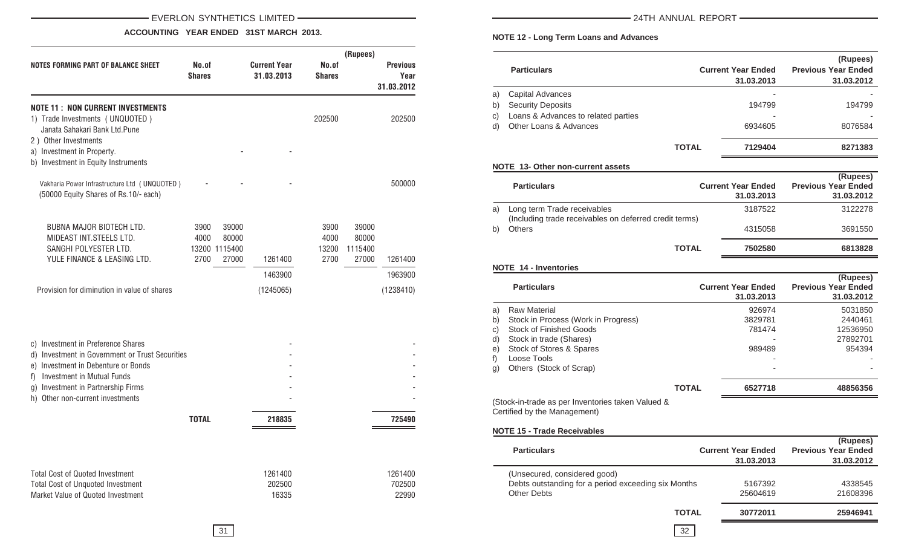# **ACCOUNTING YEAR ENDED 31ST MARCH 2013.** EVERLON SYNTHETICS LIMITED **CONTRACT CONTROL** CONTRACT CONTRACT CONTRACT CONTRACT CONTRACT CONTRACT CONTRACT CONT

|                                                                                                                                                                                                                                           |                        |                                          |                                   |                               | (Rupees)                           |                                       |
|-------------------------------------------------------------------------------------------------------------------------------------------------------------------------------------------------------------------------------------------|------------------------|------------------------------------------|-----------------------------------|-------------------------------|------------------------------------|---------------------------------------|
| NOTES FORMING PART OF BALANCE SHEET                                                                                                                                                                                                       | No.of<br><b>Shares</b> |                                          | <b>Current Year</b><br>31.03.2013 | No.of<br><b>Shares</b>        |                                    | <b>Previous</b><br>Year<br>31.03.2012 |
| <b>NOTE 11: NON CURRENT INVESTMENTS</b><br>1) Trade Investments (UNQUOTED)<br>Janata Sahakari Bank Ltd.Pune<br>2) Other Investments<br>a) Investment in Property.<br>b) Investment in Equity Instruments                                  |                        |                                          |                                   | 202500                        |                                    | 202500                                |
| Vakharia Power Infrastructure Ltd ( UNQUOTED )<br>(50000 Equity Shares of Rs.10/- each)                                                                                                                                                   |                        |                                          |                                   |                               |                                    | 500000                                |
| BUBNA MAJOR BIOTECH LTD.<br>MIDEAST INT. STEELS LTD.<br>SANGHI POLYESTER LTD.<br>YULE FINANCE & LEASING LTD.<br>Provision for diminution in value of shares                                                                               | 3900<br>4000<br>2700   | 39000<br>80000<br>13200 1115400<br>27000 | 1261400<br>1463900<br>(1245065)   | 3900<br>4000<br>13200<br>2700 | 39000<br>80000<br>1115400<br>27000 | 1261400<br>1963900<br>(1238410)       |
| c) Investment in Preference Shares<br>d) Investment in Government or Trust Securities<br>e) Investment in Debenture or Bonds<br>Investment in Mutual Funds<br>f<br>g) Investment in Partnership Firms<br>h) Other non-current investments | <b>TOTAL</b>           |                                          | 218835                            |                               |                                    | 725490                                |
| <b>Total Cost of Quoted Investment</b><br><b>Total Cost of Unquoted Investment</b><br>Market Value of Quoted Investment                                                                                                                   |                        |                                          | 1261400<br>202500<br>16335        |                               |                                    | 1261400<br>702500<br>22990            |

# **NOTE 12 - Long Term Loans and Advances**

|    | <b>Particulars</b>                  |       | <b>Current Year Ended</b><br>31.03.2013 | (Rupees)<br><b>Previous Year Ended</b><br>31.03.2012 |
|----|-------------------------------------|-------|-----------------------------------------|------------------------------------------------------|
| a) | Capital Advances                    |       |                                         |                                                      |
| b) | <b>Security Deposits</b>            |       | 194799                                  | 194799                                               |
| C) | Loans & Advances to related parties |       |                                         |                                                      |
| d) | Other Loans & Advances              |       | 6934605                                 | 8076584                                              |
|    |                                     | TOTAL | 7129404                                 | 8271383                                              |

<u> Andreas Andrew American American Andrew American American Andrew American American American American American </u>

# **NOTE 13- Other non-current assets**

|    | <b>Particulars</b>                                                                    | <b>Current Year Ended</b><br>31.03.2013 | (Rupees)<br><b>Previous Year Ended</b><br>31.03.2012 |
|----|---------------------------------------------------------------------------------------|-----------------------------------------|------------------------------------------------------|
| a) | Long term Trade receivables<br>(Including trade receivables on deferred credit terms) | 3187522                                 | 3122278                                              |
| b) | <b>Others</b>                                                                         | 4315058                                 | 3691550                                              |
|    | <b>TOTAL</b>                                                                          | 7502580                                 | 6813828                                              |

# **NOTE 14 - Inventories**

|    | <b>Particulars</b>                  |              | <b>Current Year Ended</b><br>31.03.2013 | (Rupees)<br><b>Previous Year Ended</b><br>31.03.2012 |
|----|-------------------------------------|--------------|-----------------------------------------|------------------------------------------------------|
| a) | Raw Material                        |              | 926974                                  | 5031850                                              |
| b) | Stock in Process (Work in Progress) |              | 3829781                                 | 2440461                                              |
| C) | <b>Stock of Finished Goods</b>      |              | 781474                                  | 12536950                                             |
| d) | Stock in trade (Shares)             |              |                                         | 27892701                                             |
| e) | Stock of Stores & Spares            |              | 989489                                  | 954394                                               |
| f) | Loose Tools                         |              |                                         |                                                      |
| g) | Others (Stock of Scrap)             |              |                                         |                                                      |
|    |                                     | <b>TOTAL</b> | 6527718                                 | 48856356                                             |

(Stock-in-trade as per Inventories taken Valued & Certified by the Management)

# **NOTE 15 - Trade Receivables**

|                            |                            | <b>Particulars</b>                                                                                        | <b>Current Year Ended</b><br>31.03.2013 | (Rupees)<br><b>Previous Year Ended</b><br>31.03.2012 |
|----------------------------|----------------------------|-----------------------------------------------------------------------------------------------------------|-----------------------------------------|------------------------------------------------------|
| 1261400<br>202500<br>16335 | 1261400<br>702500<br>22990 | (Unsecured, considered good)<br>Debts outstanding for a period exceeding six Months<br><b>Other Debts</b> | 5167392<br>25604619                     | 4338545<br>21608396                                  |
|                            |                            | <b>TOTAL</b>                                                                                              | 30772011                                | 25946941                                             |
| $\overline{31}$            |                            | 32                                                                                                        |                                         |                                                      |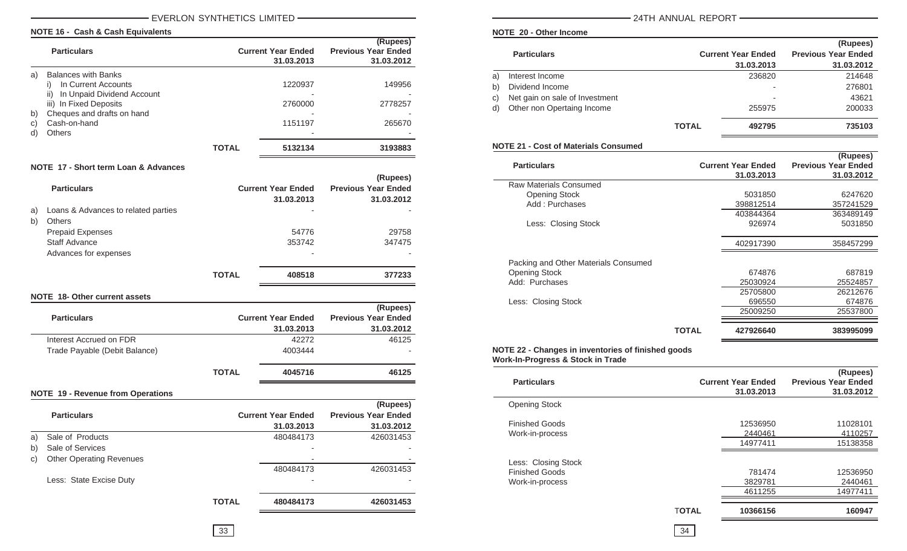# EVERLON SYNTHETICS LIMITED **CONTRACT CONTROL**

| NOTE 16 - Cash & Cash Equivalents               |              |                           |                                        |
|-------------------------------------------------|--------------|---------------------------|----------------------------------------|
| <b>Particulars</b>                              |              | <b>Current Year Ended</b> | (Rupees)<br><b>Previous Year Ended</b> |
|                                                 |              | 31.03.2013                | 31.03.2012                             |
| <b>Balances with Banks</b><br>a)                |              |                           |                                        |
| In Current Accounts<br>i)                       |              | 1220937                   | 149956                                 |
| ii) In Unpaid Dividend Account                  |              |                           |                                        |
| iii) In Fixed Deposits                          |              | 2760000                   | 2778257                                |
| Cheques and drafts on hand<br>b)                |              |                           |                                        |
| Cash-on-hand<br>C)                              |              | 1151197                   | 265670                                 |
| <b>Others</b><br>d)                             |              |                           |                                        |
|                                                 | <b>TOTAL</b> | 5132134                   | 3193883                                |
| NOTE 17 - Short term Loan & Advances            |              |                           |                                        |
|                                                 |              |                           | (Rupees)                               |
| <b>Particulars</b>                              |              | <b>Current Year Ended</b> | <b>Previous Year Ended</b>             |
|                                                 |              | 31.03.2013                | 31.03.2012                             |
| Loans & Advances to related parties<br>a)       |              |                           |                                        |
| <b>Others</b><br>b)                             |              |                           |                                        |
| <b>Prepaid Expenses</b><br><b>Staff Advance</b> |              | 54776<br>353742           | 29758<br>347475                        |
| Advances for expenses                           |              |                           |                                        |
|                                                 |              |                           |                                        |
|                                                 | <b>TOTAL</b> | 408518                    | 377233                                 |
| <b>NOTE 18- Other current assets</b>            |              |                           |                                        |
|                                                 |              |                           | (Rupees)                               |
| <b>Particulars</b>                              |              | <b>Current Year Ended</b> | <b>Previous Year Ended</b>             |
|                                                 |              | 31.03.2013                | 31.03.2012                             |
| Interest Accrued on FDR                         |              | 42272                     | 46125                                  |
| Trade Payable (Debit Balance)                   |              | 4003444                   |                                        |
|                                                 | <b>TOTAL</b> | 4045716                   | 46125                                  |
| <b>NOTE 19 - Revenue from Operations</b>        |              |                           |                                        |
|                                                 |              |                           | (Rupees)                               |

| <b>Previous Year Ended</b> |
|----------------------------|
| 31.03.2012                 |
| 426031453                  |
|                            |
|                            |
| 426031453                  |
|                            |
| 426031453                  |
|                            |

# **NOTE 20 - Other Income**

|    |                                |              |                           | (Rupees)                   |
|----|--------------------------------|--------------|---------------------------|----------------------------|
|    | <b>Particulars</b>             |              | <b>Current Year Ended</b> | <b>Previous Year Ended</b> |
|    |                                |              | 31.03.2013                | 31.03.2012                 |
| a) | Interest Income                |              | 236820                    | 214648                     |
| b) | Dividend Income                |              |                           | 276801                     |
| C) | Net gain on sale of Investment |              |                           | 43621                      |
| d) | Other non Opertaing Income     |              | 255975                    | 200033                     |
|    |                                | <b>TOTAL</b> | 492795                    | 735103                     |

# **NOTE 21 - Cost of Materials Consumed**

| <b>Particulars</b>                   |              | <b>Current Year Ended</b><br>31.03.2013 | (Rupees)<br><b>Previous Year Ended</b><br>31.03.2012 |
|--------------------------------------|--------------|-----------------------------------------|------------------------------------------------------|
| Raw Materials Consumed               |              |                                         |                                                      |
| <b>Opening Stock</b>                 |              | 5031850                                 | 6247620                                              |
| Add: Purchases                       |              | 398812514                               | 357241529                                            |
|                                      |              | 403844364                               | 363489149                                            |
| Less: Closing Stock                  |              | 926974                                  | 5031850                                              |
|                                      |              | 402917390                               | 358457299                                            |
| Packing and Other Materials Consumed |              |                                         |                                                      |
| <b>Opening Stock</b>                 |              | 674876                                  | 687819                                               |
| Add: Purchases                       |              | 25030924                                | 25524857                                             |
|                                      |              | 25705800                                | 26212676                                             |
| Less: Closing Stock                  |              | 696550                                  | 674876                                               |
|                                      |              | 25009250                                | 25537800                                             |
|                                      | <b>TOTAL</b> | 427926640                               | 383995099                                            |

# **NOTE 22 - Changes in inventories of finished goods Work-In-Progress & Stock in Trade**

| <b>Particulars</b>                       |              | <b>Current Year Ended</b><br>31.03.2013 | (Rupees)<br><b>Previous Year Ended</b><br>31.03.2012 |
|------------------------------------------|--------------|-----------------------------------------|------------------------------------------------------|
| <b>Opening Stock</b>                     |              |                                         |                                                      |
| <b>Finished Goods</b><br>Work-in-process |              | 12536950<br>2440461                     | 11028101<br>4110257                                  |
|                                          |              | 14977411                                | 15138358                                             |
| Less: Closing Stock                      |              |                                         |                                                      |
| <b>Finished Goods</b>                    |              | 781474                                  | 12536950                                             |
| Work-in-process                          |              | 3829781                                 | 2440461                                              |
|                                          |              | 4611255                                 | 14977411                                             |
|                                          | <b>TOTAL</b> | 10366156                                | 160947                                               |
|                                          |              |                                         |                                                      |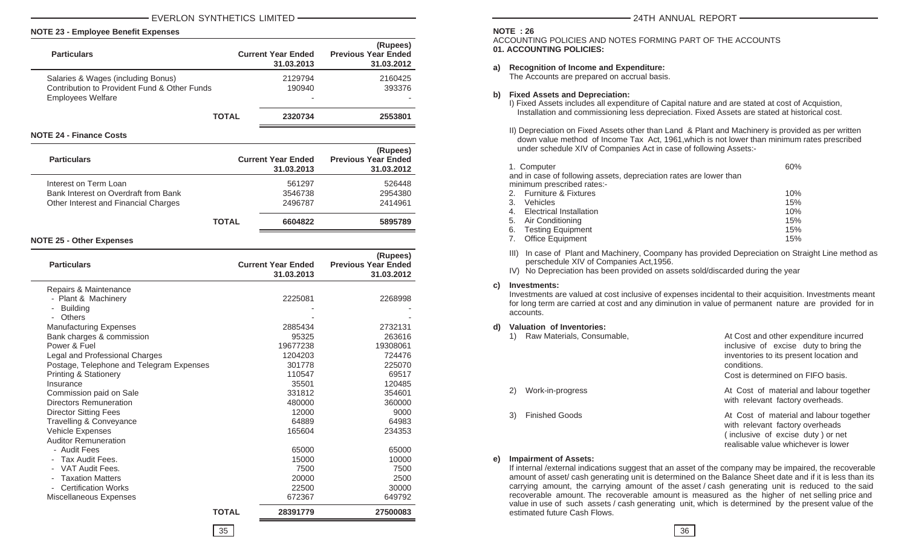| <b>Particulars</b>                                                                                             |              | <b>Current Year Ended</b><br>31.03.2013 | (Rupees)<br><b>Previous Year Ended</b><br>31.03.2012 |
|----------------------------------------------------------------------------------------------------------------|--------------|-----------------------------------------|------------------------------------------------------|
| Salaries & Wages (including Bonus)<br>Contribution to Provident Fund & Other Funds<br><b>Employees Welfare</b> |              | 2129794<br>190940                       | 2160425<br>393376                                    |
|                                                                                                                | <b>TOTAL</b> | 2320734                                 | 2553801                                              |
| <b>NOTE 24 - Finance Costs</b>                                                                                 |              |                                         |                                                      |
| <b>Particulars</b>                                                                                             |              | <b>Current Year Ended</b><br>31.03.2013 | (Rupees)<br><b>Previous Year Ended</b><br>31.03.2012 |
| Interest on Term Loan                                                                                          |              | 561297                                  | 526448                                               |
| Bank Interest on Overdraft from Bank                                                                           |              | 3546738                                 | 2954380                                              |
| Other Interest and Financial Charges                                                                           |              | 2496787                                 | 2414961                                              |
|                                                                                                                | <b>TOTAL</b> | 6604822                                 | 5895789                                              |
| <b>NOTE 25 - Other Expenses</b><br><b>Particulars</b>                                                          |              | <b>Current Year Ended</b><br>31.03.2013 | (Rupees)<br><b>Previous Year Ended</b><br>31.03.2012 |
| Repairs & Maintenance                                                                                          |              |                                         |                                                      |
| - Plant & Machinery                                                                                            |              | 2225081                                 | 2268998                                              |
| <b>Building</b>                                                                                                |              |                                         |                                                      |
| <b>Others</b>                                                                                                  |              |                                         |                                                      |
| <b>Manufacturing Expenses</b>                                                                                  |              | 2885434                                 | 2732131                                              |
| Bank charges & commission                                                                                      |              | 95325                                   | 263616                                               |
| Power & Fuel                                                                                                   |              | 19677238                                | 19308061                                             |
| Legal and Professional Charges                                                                                 |              | 1204203                                 | 724476                                               |
| Postage, Telephone and Telegram Expenses                                                                       |              | 301778                                  | 225070                                               |
| <b>Printing &amp; Stationery</b>                                                                               |              | 110547                                  | 69517                                                |
| Insurance                                                                                                      |              | 35501                                   | 120485                                               |
| Commission paid on Sale<br><b>Directors Remuneration</b>                                                       |              | 331812                                  | 354601                                               |
|                                                                                                                |              | 480000<br>12000                         | 360000<br>9000                                       |
|                                                                                                                |              |                                         |                                                      |
| <b>Director Sitting Fees</b>                                                                                   |              | 64889                                   | 64983                                                |
| Travelling & Conveyance                                                                                        |              |                                         |                                                      |
| Vehicle Expenses                                                                                               |              | 165604                                  |                                                      |
| <b>Auditor Remuneration</b>                                                                                    |              |                                         | 234353                                               |
| - Audit Fees<br>Tax Audit Fees.                                                                                |              | 65000                                   | 65000                                                |
| VAT Audit Fees.                                                                                                |              | 15000<br>7500                           | 10000<br>7500                                        |
| <b>Taxation Matters</b>                                                                                        |              | 20000                                   | 2500                                                 |

24TH ANNUAL REPORT

# **NOTE : 26**

ACCOUNTING POLICIES AND NOTES FORMING PART OF THE ACCOUNTS **01. ACCOUNTING POLICIES:**

**a) Recognition of Income and Expenditure:**

The Accounts are prepared on accrual basis.

# **b) Fixed Assets and Depreciation:**

I) Fixed Assets includes all expenditure of Capital nature and are stated at cost of Acquistion, Installation and commissioning less depreciation. Fixed Assets are stated at historical cost.

II) Depreciation on Fixed Assets other than Land & Plant and Machinery is provided as per written down value method of Income Tax Act, 1961,which is not lower than minimum rates prescribed under schedule XIV of Companies Act in case of following Assets:-

| 1. Computer                                                        | 60% |
|--------------------------------------------------------------------|-----|
| and in case of following assets, depreciation rates are lower than |     |
| minimum prescribed rates:-                                         |     |
| 2. Furniture & Fixtures                                            | 10% |
| <b>Vehicles</b><br>3.                                              | 15% |
| <b>Electrical Installation</b><br>4.                               | 10% |
| 5. Air Conditioning                                                | 15% |
| 6. Testing Equipment                                               | 15% |
| Office Equipment<br>7.                                             | 15% |

III) In case of Plant and Machinery, Coompany has provided Depreciation on Straight Line method as perschedule XIV of Companies Act,1956.

IV) No Depreciation has been provided on assets sold/discarded during the year

# **c) Investments:**

Investments are valued at cost inclusive of expenses incidental to their acquisition. Investments meant for long term are carried at cost and any diminution in value of permanent nature are provided for in accounts.

# **d) Valuation of Inventories:**

| 1) | Raw Materials, Consumable, | At Cost and other expenditure incurred<br>inclusive of excise duty to bring the<br>inventories to its present location and<br>conditions.<br>Cost is determined on FIFO basis. |
|----|----------------------------|--------------------------------------------------------------------------------------------------------------------------------------------------------------------------------|
| 2) | Work-in-progress           | At Cost of material and labour together<br>with relevant factory overheads.                                                                                                    |
| 3) | <b>Finished Goods</b>      | At Cost of material and labour together<br>with relevant factory overheads<br>(inclusive of excise duty) or net<br>realisable value whichever is lower                         |
|    |                            |                                                                                                                                                                                |

# **e) Impairment of Assets:**

If internal /external indications suggest that an asset of the company may be impaired, the recoverable amount of asset/ cash generating unit is determined on the Balance Sheet date and if it is less than its carrying amount, the carrying amount of the asset / cash generating unit is reduced to the said recoverable amount. The recoverable amount is measured as the higher of net selling price and value in use of such assets / cash generating unit, which is determined by the present value of the estimated future Cash Flows.

35 36

Miscellaneous Expenses 672367 672367 649792

 **TOTAL 28391779 27500083**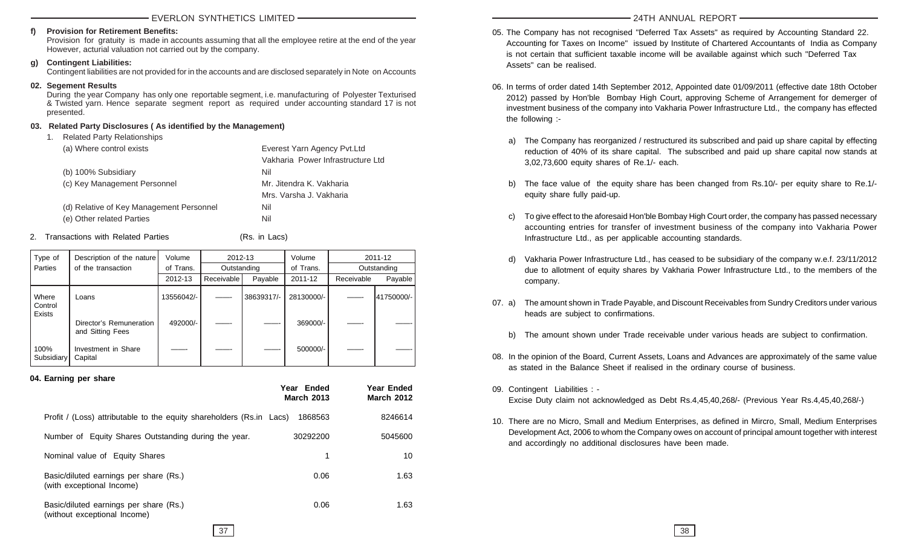# **f) Provision for Retirement Benefits:**

Provision for gratuity is made in accounts assuming that all the employee retire at the end of the year However, acturial valuation not carried out by the company.

# **g) Contingent Liabilities:**

Contingent liabilities are not provided for in the accounts and are disclosed separately in Note on Accounts

# **02. Segement Results**

During the year Company has only one reportable segment, i.e. manufacturing of Polyester Texturised & Twisted yarn. Hence separate segment report as required under accounting standard 17 is not presented.

# **03. Related Party Disclosures ( As identified by the Management)**

# 1. Related Party Relationships

| (a) Where control exists                 | Everest Yarn Agency Pvt. Ltd      |
|------------------------------------------|-----------------------------------|
|                                          | Vakharia Power Infrastructure Ltd |
| (b) 100% Subsidiary                      | Nil                               |
| (c) Key Management Personnel             | Mr. Jitendra K. Vakharia          |
|                                          | Mrs. Varsha J. Vakharia           |
| (d) Relative of Key Management Personnel | Nil                               |
| (e) Other related Parties                | Nil                               |
|                                          |                                   |

2. Transactions with Related Parties (Rs. in Lacs)

| Type of            | Description of the nature                   | Volume     | 2012-13      |            | Volume     |            | 2011-12       |
|--------------------|---------------------------------------------|------------|--------------|------------|------------|------------|---------------|
| Parties            | of the transaction                          | of Trans.  | Outstanding  |            | of Trans.  |            | Outstanding   |
|                    |                                             | 2012-13    | Receivable I | Payable    | 2011-12    | Receivable | Payable       |
| Where<br>Control   | Loans                                       | 13556042/- |              | 38639317/- | 28130000/- |            | l41750000/- l |
| Exists             | Director's Remuneration<br>and Sitting Fees | 492000/-   |              |            | 369000/-   |            |               |
| 100%<br>Subsidiary | Investment in Share<br>Capital              |            |              |            | 500000/-   |            |               |

## **04. Earning per share**

|                                                                        | Year Ended<br><b>March 2013</b> | Year Ended<br><b>March 2012</b> |
|------------------------------------------------------------------------|---------------------------------|---------------------------------|
| Profit / (Loss) attributable to the equity shareholders (Rs.in Lacs)   | 1868563                         | 8246614                         |
| Number of Equity Shares Outstanding during the year.                   | 30292200                        | 5045600                         |
| Nominal value of Equity Shares                                         | 1                               | 10                              |
| Basic/diluted earnings per share (Rs.)<br>(with exceptional Income)    | 0.06                            | 1.63                            |
| Basic/diluted earnings per share (Rs.)<br>(without exceptional Income) | 0.06                            | 1.63                            |

- 05. The Company has not recognised "Deferred Tax Assets" as required by Accounting Standard 22. Accounting for Taxes on Income" issued by Institute of Chartered Accountants of India as Company is not certain that sufficient taxable income will be available against which such "Deferred Tax Assets" can be realised.
- 06. In terms of order dated 14th September 2012, Appointed date 01/09/2011 (effective date 18th October 2012) passed by Hon'ble Bombay High Court, approving Scheme of Arrangement for demerger of investment business of the company into Vakharia Power Infrastructure Ltd., the company has effected the following :
	- a) The Company has reorganized / restructured its subscribed and paid up share capital by effecting reduction of 40% of its share capital. The subscribed and paid up share capital now stands at 3,02,73,600 equity shares of Re.1/- each.
	- b) The face value of the equity share has been changed from Rs.10/- per equity share to Re.1/equity share fully paid-up.
	- c) To give effect to the aforesaid Hon'ble Bombay High Court order, the company has passed necessary accounting entries for transfer of investment business of the company into Vakharia Power Infrastructure Ltd., as per applicable accounting standards.
	- d) Vakharia Power Infrastructure Ltd., has ceased to be subsidiary of the company w.e.f. 23/11/2012 due to allotment of equity shares by Vakharia Power Infrastructure Ltd., to the members of the company.
- 07. a) The amount shown in Trade Payable, and Discount Receivables from Sundry Creditors under various heads are subject to confirmations.
	- b) The amount shown under Trade receivable under various heads are subject to confirmation.
- 08. In the opinion of the Board, Current Assets, Loans and Advances are approximately of the same value as stated in the Balance Sheet if realised in the ordinary course of business.
- 09. Contingent Liabilities : Excise Duty claim not acknowledged as Debt Rs.4,45,40,268/- (Previous Year Rs.4,45,40,268/-)
- 10. There are no Micro, Small and Medium Enterprises, as defined in Mircro, Small, Medium Enterprises Development Act, 2006 to whom the Company owes on account of principal amount together with interest and accordingly no additional disclosures have been made.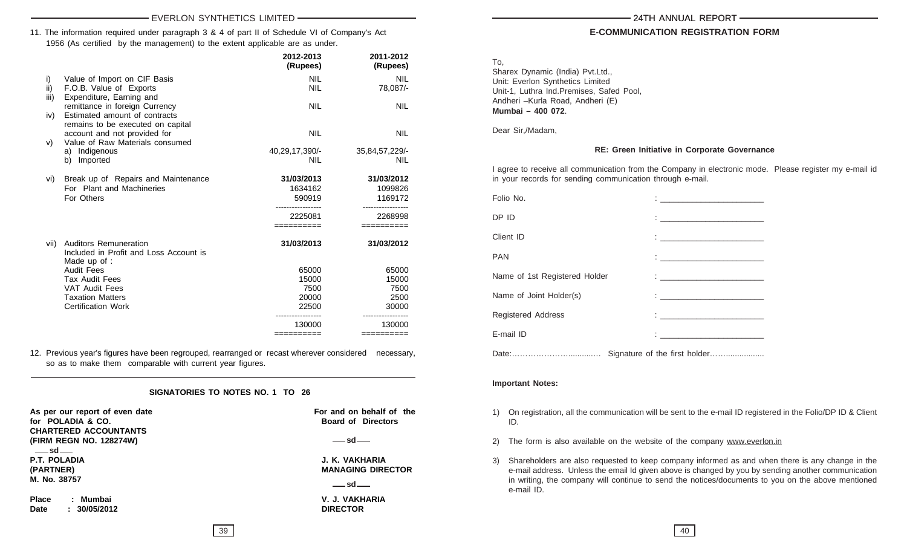# EVERLON SYNTHETICS LIMITED 24TH ANNUAL REPORT

11. The information required under paragraph 3 & 4 of part II of Schedule VI of Company's Act 1956 (As certified by the management) to the extent applicable are as under.

|      |                                                                 | 2012-2013<br>(Rupees) | 2011-2012<br>(Rupees) |
|------|-----------------------------------------------------------------|-----------------------|-----------------------|
| i)   | Value of Import on CIF Basis                                    | <b>NIL</b>            | <b>NIL</b>            |
| ii)  | F.O.B. Value of Exports                                         | <b>NIL</b>            | 78,087/-              |
| iii) | Expenditure, Earning and                                        |                       |                       |
|      | remittance in foreign Currency                                  | <b>NIL</b>            | <b>NIL</b>            |
| iv)  | Estimated amount of contracts                                   |                       |                       |
|      | remains to be executed on capital                               |                       |                       |
|      | account and not provided for<br>Value of Raw Materials consumed | <b>NIL</b>            | <b>NIL</b>            |
| V)   | a) Indigenous                                                   | 40,29,17,390/-        | 35,84,57,229/-        |
|      | b) Imported                                                     | <b>NIL</b>            | <b>NIL</b>            |
|      |                                                                 |                       |                       |
| vi)  | Break up of Repairs and Maintenance                             | 31/03/2013            | 31/03/2012            |
|      | For Plant and Machineries                                       | 1634162               | 1099826               |
|      | For Others                                                      | 590919                | 1169172               |
|      |                                                                 |                       |                       |
|      |                                                                 | 2225081               | 2268998               |
|      |                                                                 | ==========            | ==========            |
| vii) | Auditors Remuneration                                           | 31/03/2013            | 31/03/2012            |
|      | Included in Profit and Loss Account is                          |                       |                       |
|      | Made up of :                                                    |                       |                       |
|      | Audit Fees                                                      | 65000                 | 65000                 |
|      | Tax Audit Fees                                                  | 15000                 | 15000                 |
|      | <b>VAT Audit Fees</b>                                           | 7500                  | 7500                  |
|      | <b>Taxation Matters</b><br><b>Certification Work</b>            | 20000<br>22500        | 2500<br>30000         |
|      |                                                                 |                       |                       |
|      |                                                                 | 130000                | 130000                |
|      |                                                                 | -----------           | ---------             |

12. Previous year's figures have been regrouped, rearranged or recast wherever considered necessary, so as to make them comparable with current year figures.

**SIGNATORIES TO NOTES NO. 1 TO 26**

| As per our report of even date | For and on behalf of the  |  |
|--------------------------------|---------------------------|--|
| for POLADIA & CO.              | <b>Board of Directors</b> |  |
| <b>CHARTERED ACCOUNTANTS</b>   |                           |  |
| (FIRM REGN NO. 128274W)        | — sd—                     |  |
| $-$ sd $-$                     |                           |  |
| <b>P.T. POLADIA</b>            | J. K. VAKHARIA            |  |
| (PARTNER)                      | <b>MANAGING DIRECTOR</b>  |  |
| M. No. 38757                   | — sd—                     |  |
| : Mumbai<br><b>Place</b>       | V. J. VAKHARIA            |  |
| : 30/05/2012<br><b>Date</b>    | <b>DIRECTOR</b>           |  |

# **E-COMMUNICATION REGISTRATION FORM**

# To, Sharex Dynamic (India) Pvt.Ltd., Unit: Everlon Synthetics Limited Unit-1, Luthra Ind.Premises, Safed Pool, Andheri –Kurla Road, Andheri (E) **Mumbai – 400 072**.

Dear Sir,/Madam,

# **RE: Green Initiative in Corporate Governance**

I agree to receive all communication from the Company in electronic mode. Please register my e-mail id in your records for sending communication through e-mail.

| Folio No.                     |                                                                                                                                                                                                                                        |
|-------------------------------|----------------------------------------------------------------------------------------------------------------------------------------------------------------------------------------------------------------------------------------|
| DP ID                         | <u> : _________________________</u>                                                                                                                                                                                                    |
| Client ID                     |                                                                                                                                                                                                                                        |
| <b>PAN</b>                    |                                                                                                                                                                                                                                        |
| Name of 1st Registered Holder | $\ddot{\phantom{a}}$ , and the contract of the contract of the contract of the contract of the contract of the contract of the contract of the contract of the contract of the contract of the contract of the contract of the contrac |
| Name of Joint Holder(s)       |                                                                                                                                                                                                                                        |
| Registered Address            | $\mathbf{1}_{\{1,2,3,4,5\}}$ , and the set of the set of the set of the set of the set of the set of the set of the set of the set of the set of the set of the set of the set of the set of the set of the set of the set of the se   |
| E-mail ID                     | $\ddotsc$ . The contract of the contract of the contract of the contract of the contract of the contract of the contract of the contract of the contract of the contract of the contract of the contract of the contract of the        |
|                               |                                                                                                                                                                                                                                        |

## **Important Notes:**

- 1) On registration, all the communication will be sent to the e-mail ID registered in the Folio/DP ID & Client ID.
- 2) The form is also available on the website of the company www.everlon.in
- 3) Shareholders are also requested to keep company informed as and when there is any change in the e-mail address. Unless the email Id given above is changed by you by sending another communication in writing, the company will continue to send the notices/documents to you on the above mentioned e-mail ID.

 $39$  |  $40$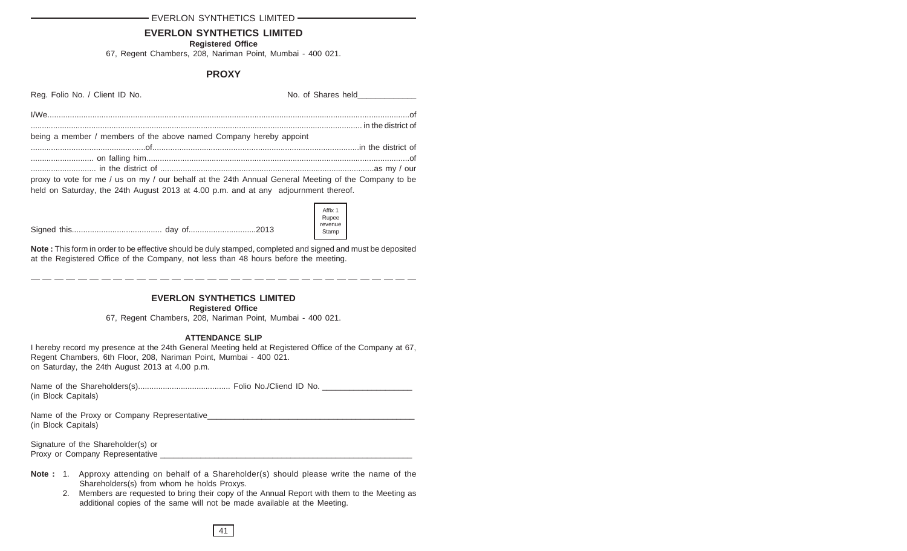# **EVERLON SYNTHETICS LIMITED**

**Registered Office**

67, Regent Chambers, 208, Nariman Point, Mumbai - 400 021.

# **PROXY**

| Reg. Folio No. / Client ID No.                                                                       | No. of Shares held                   |  |  |  |  |
|------------------------------------------------------------------------------------------------------|--------------------------------------|--|--|--|--|
|                                                                                                      |                                      |  |  |  |  |
| being a member / members of the above named Company hereby appoint                                   |                                      |  |  |  |  |
|                                                                                                      |                                      |  |  |  |  |
| proxy to vote for me / us on my / our behalf at the 24th Annual General Meeting of the Company to be |                                      |  |  |  |  |
| held on Saturday, the 24th August 2013 at 4.00 p.m. and at any adjournment thereof.                  |                                      |  |  |  |  |
|                                                                                                      | Affix 1<br>Rupee<br>revenue<br>Stamp |  |  |  |  |

**Note :** This form in order to be effective should be duly stamped, completed and signed and must be deposited at the Registered Office of the Company, not less than 48 hours before the meeting.

**EVERLON SYNTHETICS LIMITED**

# **Registered Office**

67, Regent Chambers, 208, Nariman Point, Mumbai - 400 021.

# **ATTENDANCE SLIP**

I hereby record my presence at the 24th General Meeting held at Registered Office of the Company at 67, Regent Chambers, 6th Floor, 208, Nariman Point, Mumbai - 400 021. on Saturday, the 24th August 2013 at 4.00 p.m.

Name of the Shareholders(s)......................................... Folio No./Cliend ID No. \_\_\_\_\_\_\_\_\_\_\_\_\_\_\_\_\_\_\_\_ (in Block Capitals)

Name of the Proxy or Company Representative\_\_\_\_\_\_\_\_\_\_\_\_\_\_\_\_\_\_\_\_\_\_\_\_\_\_\_\_\_\_\_\_\_\_\_\_\_\_\_\_\_\_\_\_\_\_ (in Block Capitals)

Signature of the Shareholder(s) or Proxy or Company Representative \_\_\_\_\_\_\_\_\_\_\_\_\_\_\_\_\_\_\_\_\_\_\_\_\_\_\_\_\_\_\_\_\_\_\_\_\_\_\_\_\_\_\_\_\_\_\_\_\_\_\_\_\_\_\_\_

- **Note :** 1. Approxy attending on behalf of a Shareholder(s) should please write the name of the Shareholders(s) from whom he holds Proxys.
	- 2. Members are requested to bring their copy of the Annual Report with them to the Meeting as additional copies of the same will not be made available at the Meeting.